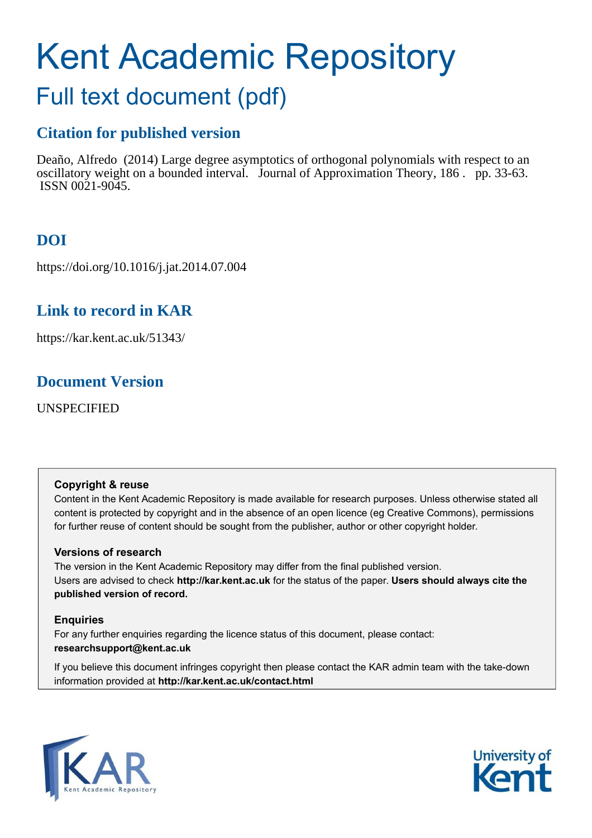# Kent Academic Repository Full text document (pdf)

# **Citation for published version**

Deaño, Alfredo (2014) Large degree asymptotics of orthogonal polynomials with respect to an oscillatory weight on a bounded interval. Journal of Approximation Theory, 186 . pp. 33-63. ISSN 0021-9045.

# **DOI**

https://doi.org/10.1016/j.jat.2014.07.004

# **Link to record in KAR**

https://kar.kent.ac.uk/51343/

# **Document Version**

UNSPECIFIED

## **Copyright & reuse**

Content in the Kent Academic Repository is made available for research purposes. Unless otherwise stated all content is protected by copyright and in the absence of an open licence (eg Creative Commons), permissions for further reuse of content should be sought from the publisher, author or other copyright holder.

# **Versions of research**

The version in the Kent Academic Repository may differ from the final published version. Users are advised to check **http://kar.kent.ac.uk** for the status of the paper. **Users should always cite the published version of record.**

## **Enquiries**

For any further enquiries regarding the licence status of this document, please contact: **researchsupport@kent.ac.uk**

If you believe this document infringes copyright then please contact the KAR admin team with the take-down information provided at **http://kar.kent.ac.uk/contact.html**



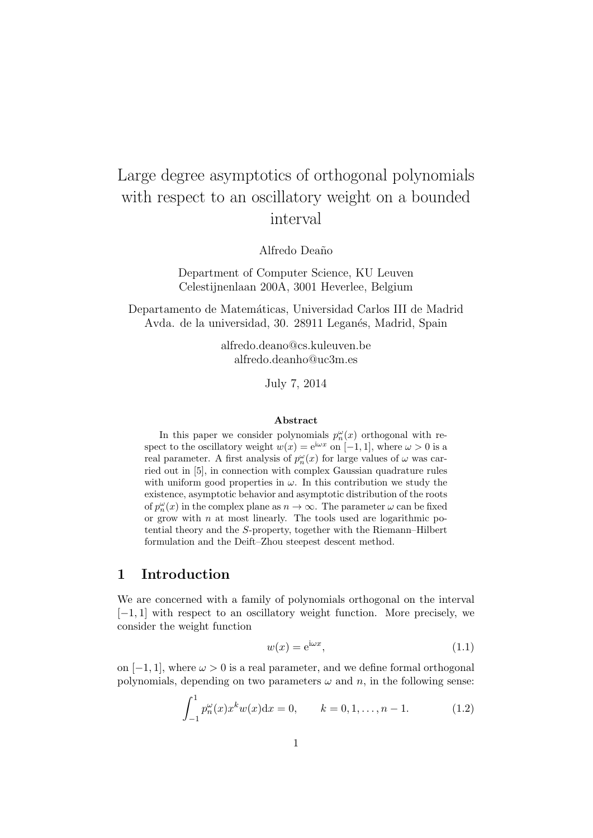# Large degree asymptotics of orthogonal polynomials with respect to an oscillatory weight on a bounded interval

Alfredo Deaño

Department of Computer Science, KU Leuven Celestijnenlaan 200A, 3001 Heverlee, Belgium

Departamento de Matemáticas, Universidad Carlos III de Madrid Avda. de la universidad, 30. 28911 Leganés, Madrid, Spain

> alfredo.deano@cs.kuleuven.be alfredo.deanho@uc3m.es

> > July 7, 2014

#### Abstract

In this paper we consider polynomials  $p_n^{\omega}(x)$  orthogonal with respect to the oscillatory weight  $w(x) = e^{i\omega x}$  on [−1, 1], where  $\omega > 0$  is a real parameter. A first analysis of  $p_n^{\omega}(x)$  for large values of  $\omega$  was carried out in [5], in connection with complex Gaussian quadrature rules with uniform good properties in  $\omega$ . In this contribution we study the existence, asymptotic behavior and asymptotic distribution of the roots of  $p_n^{\omega}(x)$  in the complex plane as  $n \to \infty$ . The parameter  $\omega$  can be fixed or grow with  $n$  at most linearly. The tools used are logarithmic potential theory and the S-property, together with the Riemann–Hilbert formulation and the Deift–Zhou steepest descent method.

# 1 Introduction

We are concerned with a family of polynomials orthogonal on the interval [−1, 1] with respect to an oscillatory weight function. More precisely, we consider the weight function

$$
w(x) = e^{i\omega x},\tag{1.1}
$$

on  $[-1, 1]$ , where  $\omega > 0$  is a real parameter, and we define formal orthogonal polynomials, depending on two parameters  $\omega$  and n, in the following sense:

$$
\int_{-1}^{1} p_n^{\omega}(x) x^k w(x) dx = 0, \qquad k = 0, 1, \dots, n - 1.
$$
 (1.2)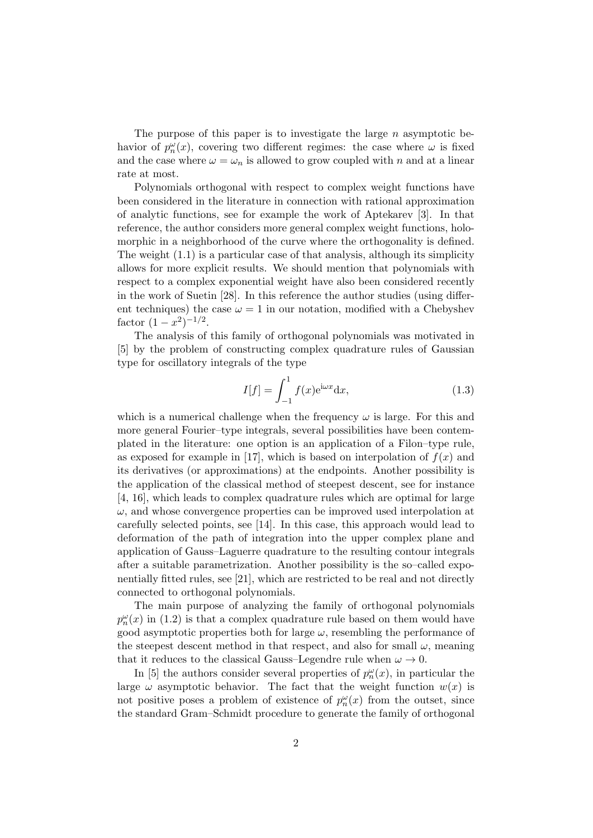The purpose of this paper is to investigate the large  $n$  asymptotic behavior of  $p_n^{\omega}(x)$ , covering two different regimes: the case where  $\omega$  is fixed and the case where  $\omega = \omega_n$  is allowed to grow coupled with n and at a linear rate at most.

Polynomials orthogonal with respect to complex weight functions have been considered in the literature in connection with rational approximation of analytic functions, see for example the work of Aptekarev [3]. In that reference, the author considers more general complex weight functions, holomorphic in a neighborhood of the curve where the orthogonality is defined. The weight (1.1) is a particular case of that analysis, although its simplicity allows for more explicit results. We should mention that polynomials with respect to a complex exponential weight have also been considered recently in the work of Suetin [28]. In this reference the author studies (using different techniques) the case  $\omega = 1$  in our notation, modified with a Chebyshev factor  $(1-x^2)^{-1/2}$ .

The analysis of this family of orthogonal polynomials was motivated in [5] by the problem of constructing complex quadrature rules of Gaussian type for oscillatory integrals of the type

$$
I[f] = \int_{-1}^{1} f(x)e^{i\omega x} dx,
$$
\n(1.3)

which is a numerical challenge when the frequency  $\omega$  is large. For this and more general Fourier–type integrals, several possibilities have been contemplated in the literature: one option is an application of a Filon–type rule, as exposed for example in [17], which is based on interpolation of  $f(x)$  and its derivatives (or approximations) at the endpoints. Another possibility is the application of the classical method of steepest descent, see for instance [4, 16], which leads to complex quadrature rules which are optimal for large  $\omega$ , and whose convergence properties can be improved used interpolation at carefully selected points, see [14]. In this case, this approach would lead to deformation of the path of integration into the upper complex plane and application of Gauss–Laguerre quadrature to the resulting contour integrals after a suitable parametrization. Another possibility is the so–called exponentially fitted rules, see [21], which are restricted to be real and not directly connected to orthogonal polynomials.

The main purpose of analyzing the family of orthogonal polynomials  $p_n^{\omega}(x)$  in (1.2) is that a complex quadrature rule based on them would have good asymptotic properties both for large  $\omega$ , resembling the performance of the steepest descent method in that respect, and also for small  $\omega$ , meaning that it reduces to the classical Gauss–Legendre rule when  $\omega \to 0$ .

In [5] the authors consider several properties of  $p_n^{\omega}(x)$ , in particular the large  $\omega$  asymptotic behavior. The fact that the weight function  $w(x)$  is not positive poses a problem of existence of  $p_n^{\omega}(x)$  from the outset, since the standard Gram–Schmidt procedure to generate the family of orthogonal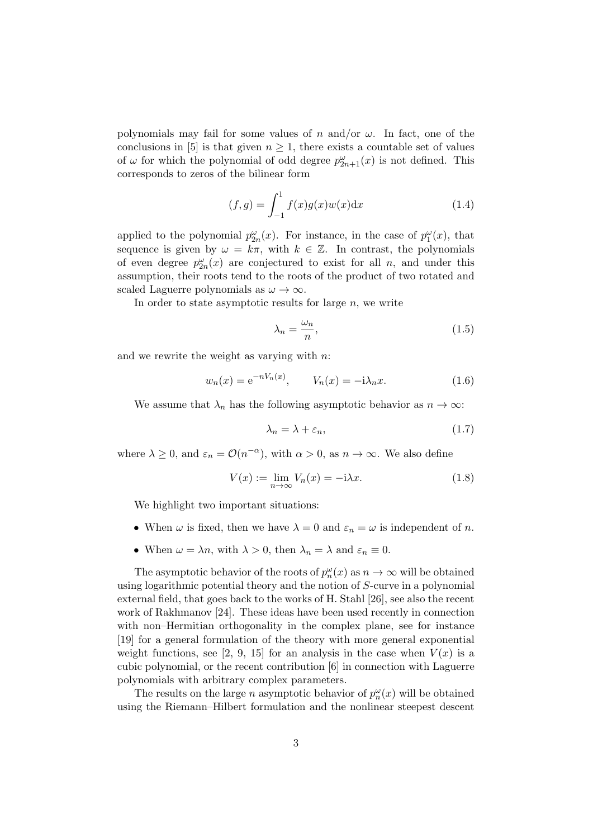polynomials may fail for some values of n and/or  $\omega$ . In fact, one of the conclusions in [5] is that given  $n \geq 1$ , there exists a countable set of values of  $\omega$  for which the polynomial of odd degree  $p_{2n+1}^{\omega}(x)$  is not defined. This corresponds to zeros of the bilinear form

$$
(f,g) = \int_{-1}^{1} f(x)g(x)w(x)dx
$$
 (1.4)

applied to the polynomial  $p_{2n}^{\omega}(x)$ . For instance, in the case of  $p_1^{\omega}(x)$ , that sequence is given by  $\omega = k\pi$ , with  $k \in \mathbb{Z}$ . In contrast, the polynomials of even degree  $p_{2n}^{\omega}(x)$  are conjectured to exist for all n, and under this assumption, their roots tend to the roots of the product of two rotated and scaled Laguerre polynomials as  $\omega \to \infty$ .

In order to state asymptotic results for large  $n$ , we write

$$
\lambda_n = \frac{\omega_n}{n},\tag{1.5}
$$

and we rewrite the weight as varying with  $n$ :

$$
w_n(x) = e^{-nV_n(x)}, \t V_n(x) = -i\lambda_n x.
$$
\t(1.6)

We assume that  $\lambda_n$  has the following asymptotic behavior as  $n \to \infty$ :

$$
\lambda_n = \lambda + \varepsilon_n,\tag{1.7}
$$

where  $\lambda \geq 0$ , and  $\varepsilon_n = \mathcal{O}(n^{-\alpha})$ , with  $\alpha > 0$ , as  $n \to \infty$ . We also define

$$
V(x) := \lim_{n \to \infty} V_n(x) = -\mathrm{i}\lambda x. \tag{1.8}
$$

We highlight two important situations:

- When  $\omega$  is fixed, then we have  $\lambda = 0$  and  $\varepsilon_n = \omega$  is independent of n.
- When  $\omega = \lambda n$ , with  $\lambda > 0$ , then  $\lambda_n = \lambda$  and  $\varepsilon_n \equiv 0$ .

The asymptotic behavior of the roots of  $p_n^{\omega}(x)$  as  $n \to \infty$  will be obtained using logarithmic potential theory and the notion of S-curve in a polynomial external field, that goes back to the works of H. Stahl [26], see also the recent work of Rakhmanov [24]. These ideas have been used recently in connection with non–Hermitian orthogonality in the complex plane, see for instance [19] for a general formulation of the theory with more general exponential weight functions, see [2, 9, 15] for an analysis in the case when  $V(x)$  is a cubic polynomial, or the recent contribution [6] in connection with Laguerre polynomials with arbitrary complex parameters.

The results on the large n asymptotic behavior of  $p_n^{\omega}(x)$  will be obtained using the Riemann–Hilbert formulation and the nonlinear steepest descent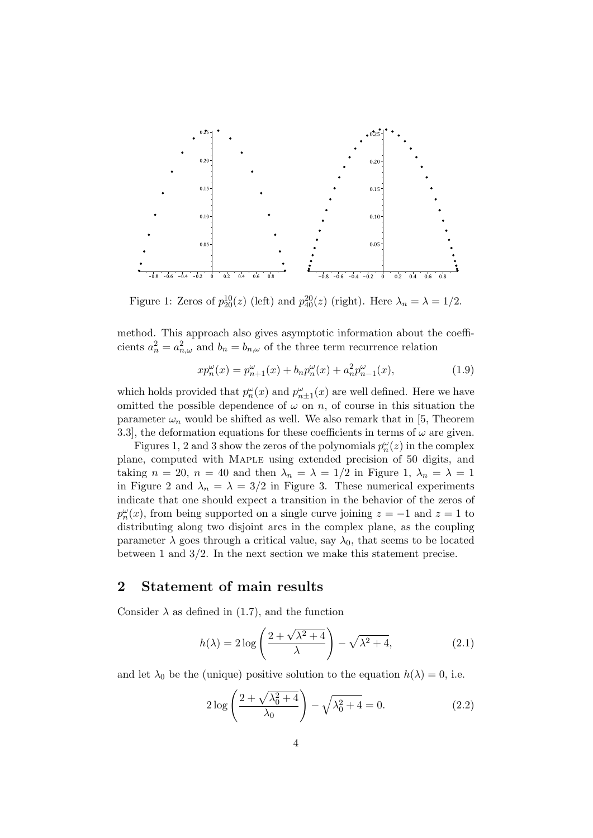

Figure 1: Zeros of  $p_{20}^{10}(z)$  (left) and  $p_{40}^{20}(z)$  (right). Here  $\lambda_n = \lambda = 1/2$ .

method. This approach also gives asymptotic information about the coefficients  $a_n^2 = a_{n,\omega}^2$  and  $b_n = b_{n,\omega}$  of the three term recurrence relation

$$
xp_n^{\omega}(x) = p_{n+1}^{\omega}(x) + b_n p_n^{\omega}(x) + a_n^2 p_{n-1}^{\omega}(x),
$$
\n(1.9)

which holds provided that  $p_n^{\omega}(x)$  and  $p_{n+1}^{\omega}(x)$  are well defined. Here we have omitted the possible dependence of  $\omega$  on n, of course in this situation the parameter  $\omega_n$  would be shifted as well. We also remark that in [5, Theorem 3.3, the deformation equations for these coefficients in terms of  $\omega$  are given.

Figures 1, 2 and 3 show the zeros of the polynomials  $p_n^{\omega}(z)$  in the complex plane, computed with Maple using extended precision of 50 digits, and taking  $n = 20$ ,  $n = 40$  and then  $\lambda_n = \lambda = 1/2$  in Figure 1,  $\lambda_n = \lambda = 1$ in Figure 2 and  $\lambda_n = \lambda = 3/2$  in Figure 3. These numerical experiments indicate that one should expect a transition in the behavior of the zeros of  $p_n^{\omega}(x)$ , from being supported on a single curve joining  $z = -1$  and  $z = 1$  to distributing along two disjoint arcs in the complex plane, as the coupling parameter  $\lambda$  goes through a critical value, say  $\lambda_0$ , that seems to be located between 1 and 3/2. In the next section we make this statement precise.

# 2 Statement of main results

Consider  $\lambda$  as defined in (1.7), and the function

$$
h(\lambda) = 2\log\left(\frac{2+\sqrt{\lambda^2+4}}{\lambda}\right) - \sqrt{\lambda^2+4},\tag{2.1}
$$

and let  $\lambda_0$  be the (unique) positive solution to the equation  $h(\lambda) = 0$ , i.e.

$$
2\log\left(\frac{2+\sqrt{\lambda_0^2+4}}{\lambda_0}\right) - \sqrt{\lambda_0^2+4} = 0.
$$
 (2.2)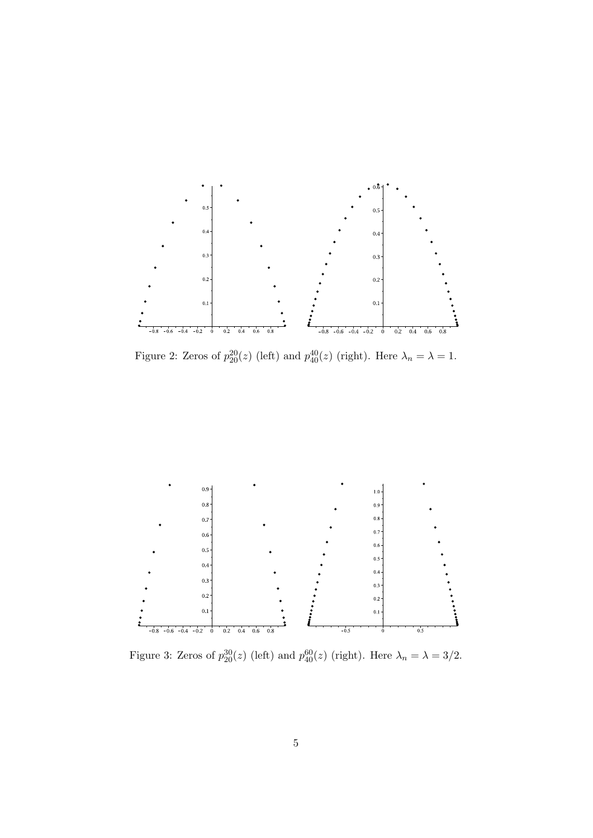

Figure 2: Zeros of  $p_{20}^{20}(z)$  (left) and  $p_{40}^{40}(z)$  (right). Here  $\lambda_n = \lambda = 1$ .



Figure 3: Zeros of  $p_{20}^{30}(z)$  (left) and  $p_{40}^{60}(z)$  (right). Here  $\lambda_n = \lambda = 3/2$ .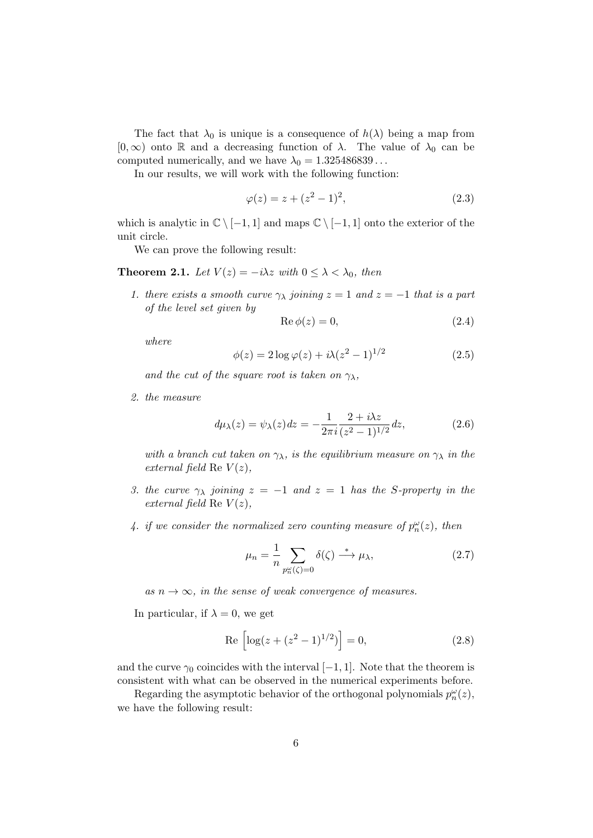The fact that  $\lambda_0$  is unique is a consequence of  $h(\lambda)$  being a map from  $[0, \infty)$  onto R and a decreasing function of  $\lambda$ . The value of  $\lambda_0$  can be computed numerically, and we have  $\lambda_0 = 1.325486839...$ 

In our results, we will work with the following function:

$$
\varphi(z) = z + (z^2 - 1)^2,\tag{2.3}
$$

which is analytic in  $\mathbb{C} \setminus [-1,1]$  and maps  $\mathbb{C} \setminus [-1,1]$  onto the exterior of the unit circle.

We can prove the following result:

**Theorem 2.1.** Let  $V(z) = -i\lambda z$  with  $0 \leq \lambda < \lambda_0$ , then

1. there exists a smooth curve  $\gamma_{\lambda}$  joining  $z = 1$  and  $z = -1$  that is a part of the level set given by

$$
Re \phi(z) = 0,\t(2.4)
$$

where

$$
\phi(z) = 2\log \varphi(z) + i\lambda (z^2 - 1)^{1/2}
$$
\n(2.5)

and the cut of the square root is taken on  $\gamma_{\lambda}$ ,

2. the measure

$$
d\mu_{\lambda}(z) = \psi_{\lambda}(z)dz = -\frac{1}{2\pi i} \frac{2 + i\lambda z}{(z^2 - 1)^{1/2}} dz,
$$
 (2.6)

with a branch cut taken on  $\gamma_{\lambda}$ , is the equilibrium measure on  $\gamma_{\lambda}$  in the external field Re  $V(z)$ ,

- 3. the curve  $\gamma_{\lambda}$  joining  $z = -1$  and  $z = 1$  has the S-property in the external field Re  $V(z)$ ,
- 4. if we consider the normalized zero counting measure of  $p_n^{\omega}(z)$ , then

$$
\mu_n = \frac{1}{n} \sum_{p_n^{\omega}(\zeta) = 0} \delta(\zeta) \stackrel{*}{\longrightarrow} \mu_\lambda,\tag{2.7}
$$

as  $n \to \infty$ , in the sense of weak convergence of measures.

In particular, if  $\lambda = 0$ , we get

$$
\text{Re}\left[\log(z + (z^2 - 1)^{1/2})\right] = 0,\tag{2.8}
$$

and the curve  $\gamma_0$  coincides with the interval [−1, 1]. Note that the theorem is consistent with what can be observed in the numerical experiments before.

Regarding the asymptotic behavior of the orthogonal polynomials  $p_n^{\omega}(z)$ , we have the following result: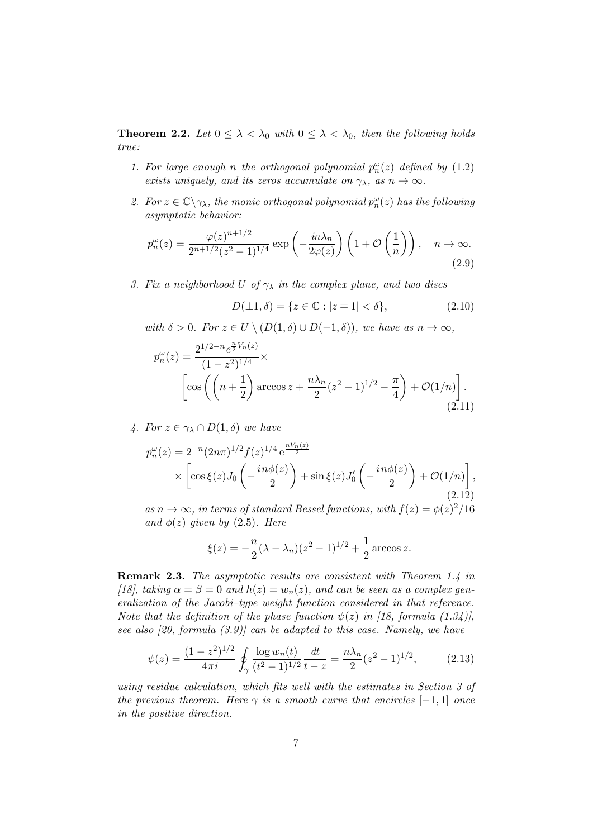**Theorem 2.2.** Let  $0 \leq \lambda < \lambda_0$  with  $0 \leq \lambda < \lambda_0$ , then the following holds true:

- 1. For large enough n the orthogonal polynomial  $p_n^{\omega}(z)$  defined by  $(1.2)$ exists uniquely, and its zeros accumulate on  $\gamma_{\lambda}$ , as  $n \to \infty$ .
- 2. For  $z \in \mathbb{C} \setminus \gamma_{\lambda}$ , the monic orthogonal polynomial  $p_n^{\omega}(z)$  has the following asymptotic behavior:

$$
p_n^{\omega}(z) = \frac{\varphi(z)^{n+1/2}}{2^{n+1/2}(z^2-1)^{1/4}} \exp\left(-\frac{in\lambda_n}{2\varphi(z)}\right) \left(1+\mathcal{O}\left(\frac{1}{n}\right)\right), \quad n \to \infty.
$$
\n(2.9)

3. Fix a neighborhood U of  $\gamma_{\lambda}$  in the complex plane, and two discs

$$
D(\pm 1, \delta) = \{ z \in \mathbb{C} : |z + 1| < \delta \},\tag{2.10}
$$

with  $\delta > 0$ . For  $z \in U \setminus (D(1, \delta) \cup D(-1, \delta))$ , we have as  $n \to \infty$ ,

$$
p_n^{\omega}(z) = \frac{2^{1/2 - n} e^{\frac{n}{2} V_n(z)}}{(1 - z^2)^{1/4}} \times \left[ \cos \left( \left( n + \frac{1}{2} \right) \arccos z + \frac{n \lambda_n}{2} (z^2 - 1)^{1/2} - \frac{\pi}{4} \right) + \mathcal{O}(1/n) \right].
$$
\n(2.11)

4. For 
$$
z \in \gamma_{\lambda} \cap D(1, \delta)
$$
 we have

$$
p_n^{\omega}(z) = 2^{-n} (2n\pi)^{1/2} f(z)^{1/4} e^{\frac{nV_n(z)}{2}}
$$
  
 
$$
\times \left[ \cos \xi(z) J_0 \left( -\frac{i n \phi(z)}{2} \right) + \sin \xi(z) J_0' \left( -\frac{i n \phi(z)}{2} \right) + \mathcal{O}(1/n) \right],
$$
  
(2.12)

as  $n \to \infty$ , in terms of standard Bessel functions, with  $f(z) = \phi(z)^2/16$ and  $\phi(z)$  given by (2.5). Here

$$
\xi(z) = -\frac{n}{2}(\lambda - \lambda_n)(z^2 - 1)^{1/2} + \frac{1}{2}\arccos z.
$$

Remark 2.3. The asymptotic results are consistent with Theorem 1.4 in [18], taking  $\alpha = \beta = 0$  and  $h(z) = w_n(z)$ , and can be seen as a complex generalization of the Jacobi–type weight function considered in that reference. Note that the definition of the phase function  $\psi(z)$  in [18, formula (1.34)], see also  $[20, formula (3.9)]$  can be adapted to this case. Namely, we have

$$
\psi(z) = \frac{(1-z^2)^{1/2}}{4\pi i} \oint_{\gamma} \frac{\log w_n(t)}{(t^2-1)^{1/2}} \frac{dt}{t-z} = \frac{n\lambda_n}{2} (z^2-1)^{1/2},\tag{2.13}
$$

using residue calculation, which fits well with the estimates in Section 3 of the previous theorem. Here  $\gamma$  is a smooth curve that encircles [-1,1] once in the positive direction.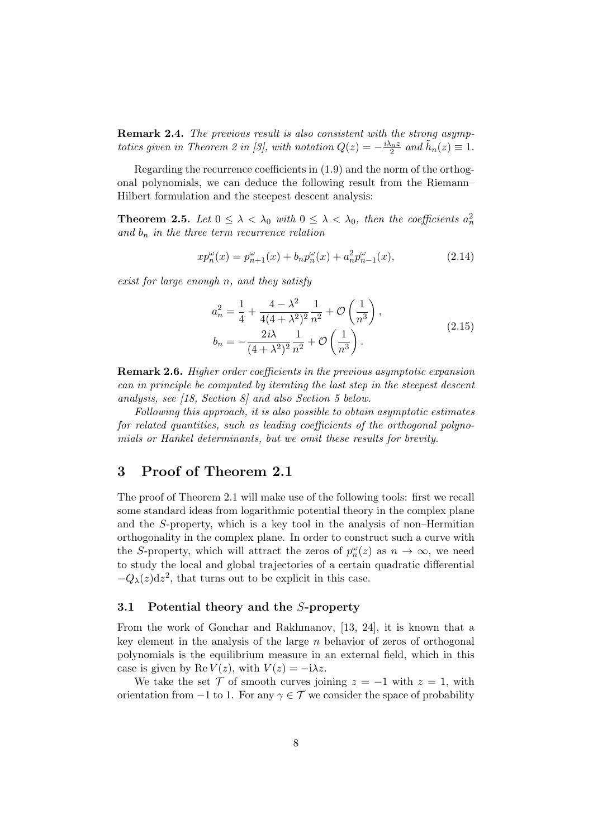Remark 2.4. The previous result is also consistent with the strong asymptotics given in Theorem 2 in [3], with notation  $Q(z) = -\frac{i\lambda_n z}{2}$  and  $\tilde{h}_n(z) \equiv 1$ .

Regarding the recurrence coefficients in (1.9) and the norm of the orthogonal polynomials, we can deduce the following result from the Riemann– Hilbert formulation and the steepest descent analysis:

**Theorem 2.5.** Let  $0 \leq \lambda < \lambda_0$  with  $0 \leq \lambda < \lambda_0$ , then the coefficients  $a_n^2$ and  $b_n$  in the three term recurrence relation

$$
xp_n^{\omega}(x) = p_{n+1}^{\omega}(x) + b_n p_n^{\omega}(x) + a_n^2 p_{n-1}^{\omega}(x),
$$
\n(2.14)

exist for large enough n, and they satisfy

$$
a_n^2 = \frac{1}{4} + \frac{4 - \lambda^2}{4(4 + \lambda^2)^2} \frac{1}{n^2} + \mathcal{O}\left(\frac{1}{n^3}\right),
$$
  
\n
$$
b_n = -\frac{2i\lambda}{(4 + \lambda^2)^2} \frac{1}{n^2} + \mathcal{O}\left(\frac{1}{n^3}\right).
$$
\n(2.15)

Remark 2.6. Higher order coefficients in the previous asymptotic expansion can in principle be computed by iterating the last step in the steepest descent analysis, see [18, Section 8] and also Section 5 below.

Following this approach, it is also possible to obtain asymptotic estimates for related quantities, such as leading coefficients of the orthogonal polynomials or Hankel determinants, but we omit these results for brevity.

### 3 Proof of Theorem 2.1

The proof of Theorem 2.1 will make use of the following tools: first we recall some standard ideas from logarithmic potential theory in the complex plane and the S-property, which is a key tool in the analysis of non–Hermitian orthogonality in the complex plane. In order to construct such a curve with the S-property, which will attract the zeros of  $p_n^{\omega}(z)$  as  $n \to \infty$ , we need to study the local and global trajectories of a certain quadratic differential  $-Q_{\lambda}(z)dz^2$ , that turns out to be explicit in this case.

#### 3.1 Potential theory and the S-property

From the work of Gonchar and Rakhmanov, [13, 24], it is known that a key element in the analysis of the large n behavior of zeros of orthogonal polynomials is the equilibrium measure in an external field, which in this case is given by Re  $V(z)$ , with  $V(z) = -i\lambda z$ .

We take the set  $\mathcal T$  of smooth curves joining  $z = -1$  with  $z = 1$ , with orientation from  $-1$  to 1. For any  $\gamma \in \mathcal{T}$  we consider the space of probability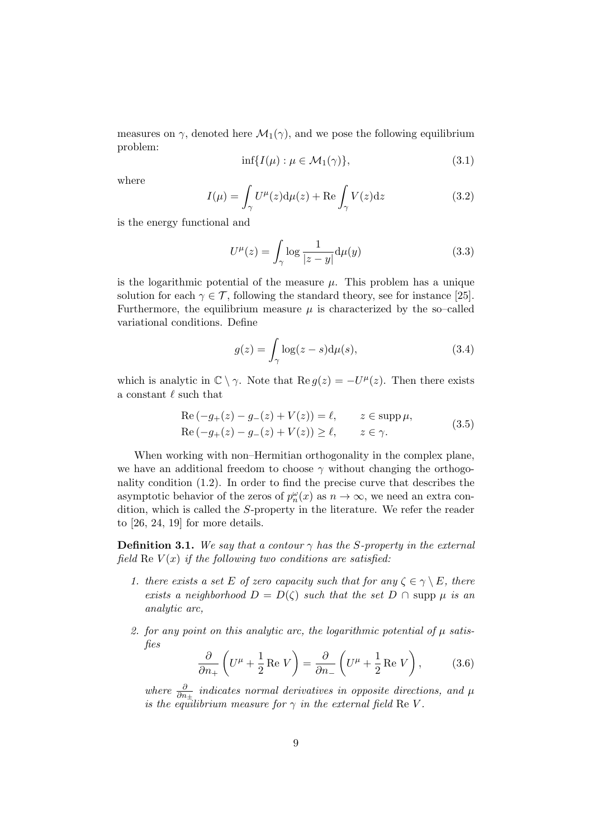measures on  $\gamma$ , denoted here  $\mathcal{M}_1(\gamma)$ , and we pose the following equilibrium problem:

$$
\inf\{I(\mu): \mu \in \mathcal{M}_1(\gamma)\},\tag{3.1}
$$

where

$$
I(\mu) = \int_{\gamma} U^{\mu}(z) d\mu(z) + \text{Re} \int_{\gamma} V(z) dz
$$
 (3.2)

is the energy functional and

$$
U^{\mu}(z) = \int_{\gamma} \log \frac{1}{|z - y|} d\mu(y) \tag{3.3}
$$

is the logarithmic potential of the measure  $\mu$ . This problem has a unique solution for each  $\gamma \in \mathcal{T}$ , following the standard theory, see for instance [25]. Furthermore, the equilibrium measure  $\mu$  is characterized by the so-called variational conditions. Define

$$
g(z) = \int_{\gamma} \log(z - s) \mathrm{d}\mu(s),\tag{3.4}
$$

which is analytic in  $\mathbb{C} \setminus \gamma$ . Note that  $\text{Re } g(z) = -U^{\mu}(z)$ . Then there exists a constant  $\ell$  such that

Re 
$$
(-g_{+}(z) - g_{-}(z) + V(z)) = \ell
$$
,  $z \in \text{supp }\mu$ ,  
Re  $(-g_{+}(z) - g_{-}(z) + V(z)) \ge \ell$ ,  $z \in \gamma$ . (3.5)

When working with non–Hermitian orthogonality in the complex plane, we have an additional freedom to choose  $\gamma$  without changing the orthogonality condition (1.2). In order to find the precise curve that describes the asymptotic behavior of the zeros of  $p_n^{\omega}(x)$  as  $n \to \infty$ , we need an extra condition, which is called the S-property in the literature. We refer the reader to [26, 24, 19] for more details.

**Definition 3.1.** We say that a contour  $\gamma$  has the S-property in the external field Re  $V(x)$  if the following two conditions are satisfied:

- 1. there exists a set E of zero capacity such that for any  $\zeta \in \gamma \setminus E$ , there exists a neighborhood  $D = D(\zeta)$  such that the set  $D \cap \text{supp } \mu$  is an analytic arc,
- 2. for any point on this analytic arc, the logarithmic potential of  $\mu$  satisfies

$$
\frac{\partial}{\partial n_+} \left( U^{\mu} + \frac{1}{2} \operatorname{Re} V \right) = \frac{\partial}{\partial n_-} \left( U^{\mu} + \frac{1}{2} \operatorname{Re} V \right), \tag{3.6}
$$

where  $\frac{\partial}{\partial n_{\pm}}$  indicates normal derivatives in opposite directions, and  $\mu$ is the equilibrium measure for  $\gamma$  in the external field Re V.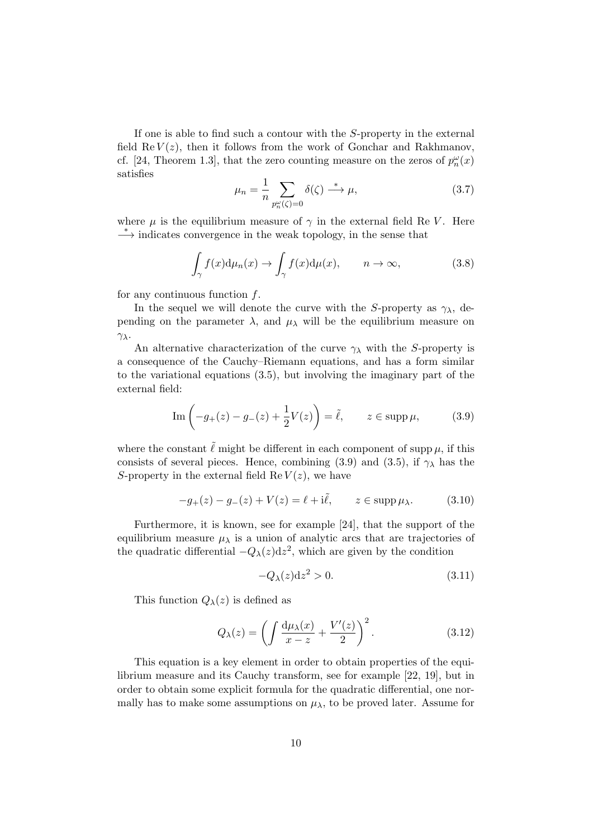If one is able to find such a contour with the S-property in the external field  $\text{Re } V(z)$ , then it follows from the work of Gonchar and Rakhmanov, cf. [24, Theorem 1.3], that the zero counting measure on the zeros of  $p_n^{\omega}(x)$ satisfies

$$
\mu_n = \frac{1}{n} \sum_{p_n^{\omega}(\zeta) = 0} \delta(\zeta) \xrightarrow{\ast} \mu,
$$
\n(3.7)

where  $\mu$  is the equilibrium measure of  $\gamma$  in the external field Re V. Here  $*$  indicates convergence in the weak topology, in the sense that

$$
\int_{\gamma} f(x) d\mu_n(x) \to \int_{\gamma} f(x) d\mu(x), \qquad n \to \infty,
$$
\n(3.8)

for any continuous function  $f$ .

In the sequel we will denote the curve with the S-property as  $\gamma_{\lambda}$ , depending on the parameter  $\lambda$ , and  $\mu_{\lambda}$  will be the equilibrium measure on  $γ<sub>λ</sub>$ .

An alternative characterization of the curve  $\gamma_{\lambda}$  with the S-property is a consequence of the Cauchy–Riemann equations, and has a form similar to the variational equations (3.5), but involving the imaginary part of the external field:

$$
\operatorname{Im}\left(-g_+(z) - g_-(z) + \frac{1}{2}V(z)\right) = \tilde{\ell}, \qquad z \in \operatorname{supp}\mu,\tag{3.9}
$$

where the constant  $\ell$  might be different in each component of supp  $\mu$ , if this consists of several pieces. Hence, combining (3.9) and (3.5), if  $\gamma_{\lambda}$  has the S-property in the external field  $\text{Re } V(z)$ , we have

$$
-g_{+}(z) - g_{-}(z) + V(z) = \ell + i\tilde{\ell}, \qquad z \in \operatorname{supp} \mu_{\lambda}.
$$
 (3.10)

Furthermore, it is known, see for example [24], that the support of the equilibrium measure  $\mu_{\lambda}$  is a union of analytic arcs that are trajectories of the quadratic differential  $-Q_{\lambda}(z)dz^2$ , which are given by the condition

$$
-Q_{\lambda}(z)dz^2 > 0.\t\t(3.11)
$$

This function  $Q_{\lambda}(z)$  is defined as

$$
Q_{\lambda}(z) = \left(\int \frac{d\mu_{\lambda}(x)}{x - z} + \frac{V'(z)}{2}\right)^2.
$$
 (3.12)

This equation is a key element in order to obtain properties of the equilibrium measure and its Cauchy transform, see for example [22, 19], but in order to obtain some explicit formula for the quadratic differential, one normally has to make some assumptions on  $\mu_{\lambda}$ , to be proved later. Assume for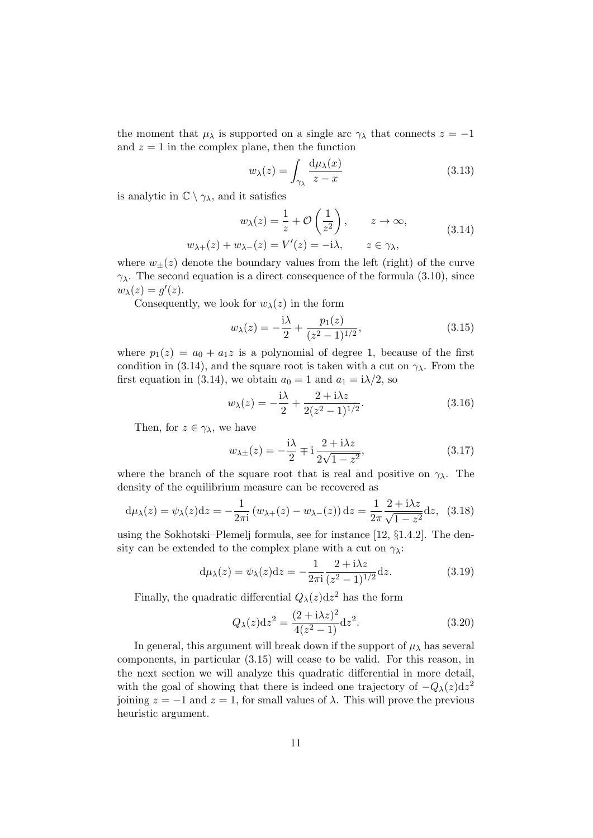the moment that  $\mu_{\lambda}$  is supported on a single arc  $\gamma_{\lambda}$  that connects  $z = -1$ and  $z = 1$  in the complex plane, then the function

$$
w_{\lambda}(z) = \int_{\gamma_{\lambda}} \frac{d\mu_{\lambda}(x)}{z - x}
$$
 (3.13)

is analytic in  $\mathbb{C} \setminus \gamma_{\lambda}$ , and it satisfies

$$
w_{\lambda}(z) = \frac{1}{z} + \mathcal{O}\left(\frac{1}{z^2}\right), \qquad z \to \infty,
$$
  

$$
w_{\lambda+}(z) + w_{\lambda-}(z) = V'(z) = -i\lambda, \qquad z \in \gamma_{\lambda},
$$
 (3.14)

where  $w_{\pm}(z)$  denote the boundary values from the left (right) of the curve  $γ<sub>λ</sub>$ . The second equation is a direct consequence of the formula (3.10), since  $w_{\lambda}(z) = g'(z).$ 

Consequently, we look for  $w_{\lambda}(z)$  in the form

$$
w_{\lambda}(z) = -\frac{\mathrm{i}\lambda}{2} + \frac{p_1(z)}{(z^2 - 1)^{1/2}},\tag{3.15}
$$

where  $p_1(z) = a_0 + a_1 z$  is a polynomial of degree 1, because of the first condition in (3.14), and the square root is taken with a cut on  $\gamma_{\lambda}$ . From the first equation in (3.14), we obtain  $a_0 = 1$  and  $a_1 = i\lambda/2$ , so

$$
w_{\lambda}(z) = -\frac{\mathrm{i}\lambda}{2} + \frac{2 + \mathrm{i}\lambda z}{2(z^2 - 1)^{1/2}}.\tag{3.16}
$$

Then, for  $z \in \gamma_{\lambda}$ , we have

$$
w_{\lambda\pm}(z) = -\frac{\mathrm{i}\lambda}{2} \mp \mathrm{i}\frac{2 + \mathrm{i}\lambda z}{2\sqrt{1 - z^2}},\tag{3.17}
$$

where the branch of the square root that is real and positive on  $\gamma_{\lambda}$ . The density of the equilibrium measure can be recovered as

$$
d\mu_{\lambda}(z) = \psi_{\lambda}(z)dz = -\frac{1}{2\pi i} (w_{\lambda+}(z) - w_{\lambda-}(z)) dz = \frac{1}{2\pi} \frac{2 + i\lambda z}{\sqrt{1 - z^2}} dz, (3.18)
$$

using the Sokhotski–Plemelj formula, see for instance [12, §1.4.2]. The density can be extended to the complex plane with a cut on  $\gamma_{\lambda}$ :

$$
d\mu_{\lambda}(z) = \psi_{\lambda}(z)dz = -\frac{1}{2\pi i} \frac{2 + i\lambda z}{(z^2 - 1)^{1/2}} dz.
$$
 (3.19)

Finally, the quadratic differential  $Q_{\lambda}(z)dz^2$  has the form

$$
Q_{\lambda}(z)dz^{2} = \frac{(2 + i\lambda z)^{2}}{4(z^{2} - 1)}dz^{2}.
$$
 (3.20)

In general, this argument will break down if the support of  $\mu_{\lambda}$  has several components, in particular (3.15) will cease to be valid. For this reason, in the next section we will analyze this quadratic differential in more detail, with the goal of showing that there is indeed one trajectory of  $-Q_{\lambda}(z)dz^2$ joining  $z = -1$  and  $z = 1$ , for small values of  $\lambda$ . This will prove the previous heuristic argument.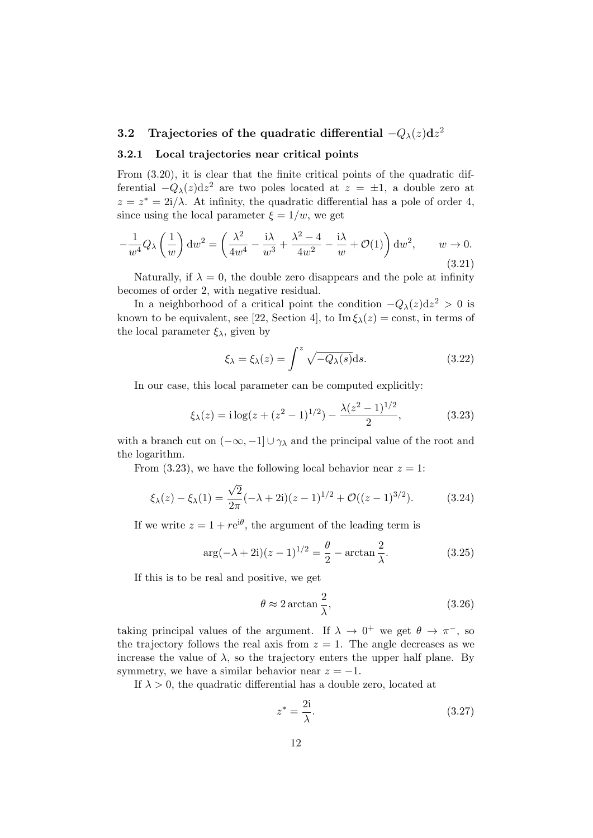# 3.2 Trajectories of the quadratic differential  $-Q_{\lambda}(z)dz^2$

### 3.2.1 Local trajectories near critical points

From (3.20), it is clear that the finite critical points of the quadratic differential  $-Q_\lambda(z)dz^2$  are two poles located at  $z = \pm 1$ , a double zero at  $z = z^* = 2i/\lambda$ . At infinity, the quadratic differential has a pole of order 4, since using the local parameter  $\xi = 1/w$ , we get

$$
-\frac{1}{w^4}Q_\lambda\left(\frac{1}{w}\right)dw^2 = \left(\frac{\lambda^2}{4w^4} - \frac{i\lambda}{w^3} + \frac{\lambda^2 - 4}{4w^2} - \frac{i\lambda}{w} + \mathcal{O}(1)\right)dw^2, \qquad w \to 0.
$$
\n(3.21)

Naturally, if  $\lambda = 0$ , the double zero disappears and the pole at infinity becomes of order 2, with negative residual.

In a neighborhood of a critical point the condition  $-Q_\lambda(z)dz^2 > 0$  is known to be equivalent, see [22, Section 4], to  $\text{Im } \xi_{\lambda}(z) = \text{const}$ , in terms of the local parameter  $\xi_{\lambda}$ , given by

$$
\xi_{\lambda} = \xi_{\lambda}(z) = \int^{z} \sqrt{-Q_{\lambda}(s)} \, \mathrm{d}s. \tag{3.22}
$$

In our case, this local parameter can be computed explicitly:

$$
\xi_{\lambda}(z) = i \log(z + (z^2 - 1)^{1/2}) - \frac{\lambda (z^2 - 1)^{1/2}}{2},\tag{3.23}
$$

with a branch cut on  $(-\infty, -1] \cup \gamma_{\lambda}$  and the principal value of the root and the logarithm.

From (3.23), we have the following local behavior near  $z = 1$ :

$$
\xi_{\lambda}(z) - \xi_{\lambda}(1) = \frac{\sqrt{2}}{2\pi}(-\lambda + 2i)(z - 1)^{1/2} + \mathcal{O}((z - 1)^{3/2}).
$$
 (3.24)

If we write  $z = 1 + re^{i\theta}$ , the argument of the leading term is

$$
\arg(-\lambda + 2i)(z - 1)^{1/2} = \frac{\theta}{2} - \arctan\frac{2}{\lambda}.
$$
 (3.25)

If this is to be real and positive, we get

$$
\theta \approx 2 \arctan \frac{2}{\lambda},\tag{3.26}
$$

taking principal values of the argument. If  $\lambda \to 0^+$  we get  $\theta \to \pi^-$ , so the trajectory follows the real axis from  $z = 1$ . The angle decreases as we increase the value of  $\lambda$ , so the trajectory enters the upper half plane. By symmetry, we have a similar behavior near  $z = -1$ .

If  $\lambda > 0$ , the quadratic differential has a double zero, located at

$$
z^* = \frac{2i}{\lambda}.\tag{3.27}
$$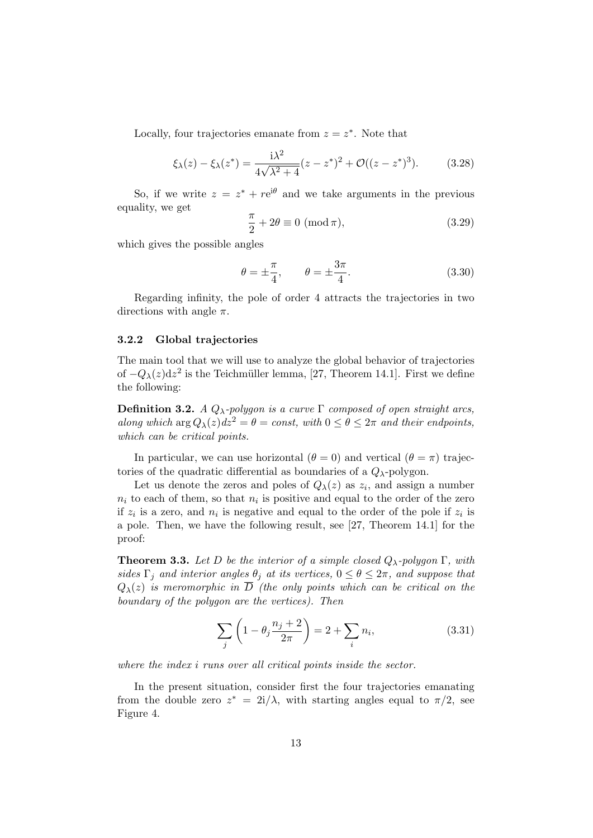Locally, four trajectories emanate from  $z = z^*$ . Note that

$$
\xi_{\lambda}(z) - \xi_{\lambda}(z^*) = \frac{\mathrm{i}\lambda^2}{4\sqrt{\lambda^2 + 4}}(z - z^*)^2 + \mathcal{O}((z - z^*)^3). \tag{3.28}
$$

So, if we write  $z = z^* + re^{i\theta}$  and we take arguments in the previous equality, we get

$$
\frac{\pi}{2} + 2\theta \equiv 0 \pmod{\pi},\tag{3.29}
$$

which gives the possible angles

$$
\theta = \pm \frac{\pi}{4}, \qquad \theta = \pm \frac{3\pi}{4}.
$$
\n(3.30)

Regarding infinity, the pole of order 4 attracts the trajectories in two directions with angle  $\pi$ .

#### 3.2.2 Global trajectories

The main tool that we will use to analyze the global behavior of trajectories of  $-Q_{\lambda}(z)dz^2$  is the Teichmüller lemma, [27, Theorem 14.1]. First we define the following:

**Definition 3.2.** A  $Q_{\lambda}$ -polygon is a curve  $\Gamma$  composed of open straight arcs, along which  $\arg Q_{\lambda}(z) dz^2 = \theta = \text{const}, \text{ with } 0 \leq \theta \leq 2\pi \text{ and their endpoints,}$ which can be critical points.

In particular, we can use horizontal  $(\theta = 0)$  and vertical  $(\theta = \pi)$  trajectories of the quadratic differential as boundaries of a  $Q_{\lambda}$ -polygon.

Let us denote the zeros and poles of  $Q_{\lambda}(z)$  as  $z_i$ , and assign a number  $n_i$  to each of them, so that  $n_i$  is positive and equal to the order of the zero if  $z_i$  is a zero, and  $n_i$  is negative and equal to the order of the pole if  $z_i$  is a pole. Then, we have the following result, see [27, Theorem 14.1] for the proof:

**Theorem 3.3.** Let D be the interior of a simple closed  $Q_{\lambda}$ -polygon  $\Gamma$ , with sides  $\Gamma_i$  and interior angles  $\theta_i$  at its vertices,  $0 \le \theta \le 2\pi$ , and suppose that  $Q_{\lambda}(z)$  is meromorphic in  $\overline{D}$  (the only points which can be critical on the boundary of the polygon are the vertices). Then

$$
\sum_{j} \left( 1 - \theta_j \frac{n_j + 2}{2\pi} \right) = 2 + \sum_{i} n_i,
$$
\n(3.31)

where the index i runs over all critical points inside the sector.

In the present situation, consider first the four trajectories emanating from the double zero  $z^* = 2i/\lambda$ , with starting angles equal to  $\pi/2$ , see Figure 4.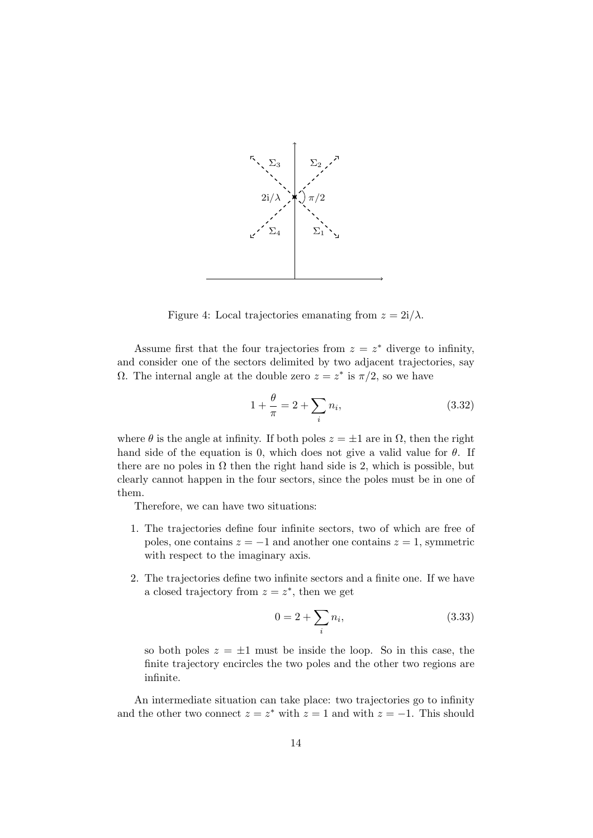

Figure 4: Local trajectories emanating from  $z = 2i/\lambda$ .

Assume first that the four trajectories from  $z = z^*$  diverge to infinity, and consider one of the sectors delimited by two adjacent trajectories, say Ω. The internal angle at the double zero  $z = z^*$  is  $\pi/2$ , so we have

$$
1 + \frac{\theta}{\pi} = 2 + \sum_{i} n_i,\tag{3.32}
$$

where  $\theta$  is the angle at infinity. If both poles  $z = \pm 1$  are in  $\Omega$ , then the right hand side of the equation is 0, which does not give a valid value for  $\theta$ . If there are no poles in  $\Omega$  then the right hand side is 2, which is possible, but clearly cannot happen in the four sectors, since the poles must be in one of them.

Therefore, we can have two situations:

- 1. The trajectories define four infinite sectors, two of which are free of poles, one contains  $z = -1$  and another one contains  $z = 1$ , symmetric with respect to the imaginary axis.
- 2. The trajectories define two infinite sectors and a finite one. If we have a closed trajectory from  $z = z^*$ , then we get

$$
0 = 2 + \sum_{i} n_i,
$$
\n(3.33)

so both poles  $z = \pm 1$  must be inside the loop. So in this case, the finite trajectory encircles the two poles and the other two regions are infinite.

An intermediate situation can take place: two trajectories go to infinity and the other two connect  $z = z^*$  with  $z = 1$  and with  $z = -1$ . This should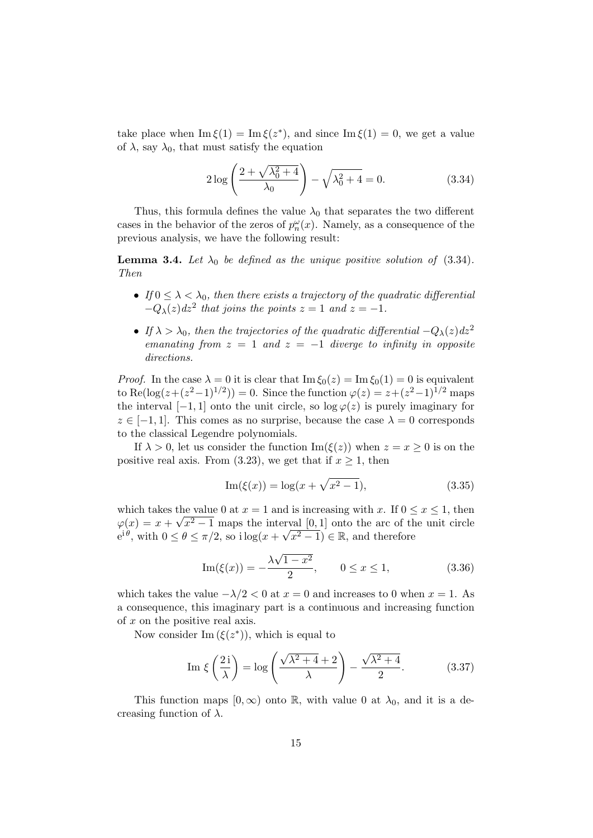take place when  $\text{Im } \xi(1) = \text{Im } \xi(z^*)$ , and since  $\text{Im } \xi(1) = 0$ , we get a value of  $\lambda$ , say  $\lambda_0$ , that must satisfy the equation

$$
2\log\left(\frac{2+\sqrt{\lambda_0^2+4}}{\lambda_0}\right) - \sqrt{\lambda_0^2+4} = 0.
$$
 (3.34)

Thus, this formula defines the value  $\lambda_0$  that separates the two different cases in the behavior of the zeros of  $p_n^{\omega}(x)$ . Namely, as a consequence of the previous analysis, we have the following result:

**Lemma 3.4.** Let  $\lambda_0$  be defined as the unique positive solution of (3.34). Then

- If  $0 \leq \lambda < \lambda_0$ , then there exists a trajectory of the quadratic differential  $-Q_\lambda(z) dz^2$  that joins the points  $z = 1$  and  $z = -1$ .
- If  $\lambda > \lambda_0$ , then the trajectories of the quadratic differential  $-Q_\lambda(z)dz^2$ emanating from  $z = 1$  and  $z = -1$  diverge to infinity in opposite directions.

*Proof.* In the case  $\lambda = 0$  it is clear that  $\text{Im } \xi_0(z) = \text{Im } \xi_0(1) = 0$  is equivalent to Re(log( $z + (z^2 - 1)^{1/2}$ )) = 0. Since the function  $\varphi(z) = z + (z^2 - 1)^{1/2}$  maps the interval  $[-1, 1]$  onto the unit circle, so  $\log \varphi(z)$  is purely imaginary for  $z \in [-1, 1]$ . This comes as no surprise, because the case  $\lambda = 0$  corresponds to the classical Legendre polynomials.

If  $\lambda > 0$ , let us consider the function Im( $\xi(z)$ ) when  $z = x \geq 0$  is on the positive real axis. From (3.23), we get that if  $x \geq 1$ , then

$$
Im(\xi(x)) = log(x + \sqrt{x^2 - 1}),
$$
\n(3.35)

which takes the value 0 at  $x = 1$  and is increasing with x. If  $0 \leq x \leq 1$ , then  $\varphi(x) = x + \sqrt{x^2 - 1}$  maps the interval [0, 1] onto the arc of the unit circle  $e^{i\theta}$ , with  $0 \le \theta \le \pi/2$ , so  $i \log(x + \sqrt{x^2 - 1}) \in \mathbb{R}$ , and therefore

Im(
$$
\xi(x)
$$
) =  $-\frac{\lambda\sqrt{1-x^2}}{2}$ ,  $0 \le x \le 1$ , (3.36)

which takes the value  $-\lambda/2 < 0$  at  $x = 0$  and increases to 0 when  $x = 1$ . As a consequence, this imaginary part is a continuous and increasing function of x on the positive real axis.

Now consider  $\text{Im}(\xi(z^*))$ , which is equal to

Im 
$$
\xi\left(\frac{2i}{\lambda}\right) = \log\left(\frac{\sqrt{\lambda^2 + 4} + 2}{\lambda}\right) - \frac{\sqrt{\lambda^2 + 4}}{2}.
$$
 (3.37)

This function maps  $[0, \infty)$  onto R, with value 0 at  $\lambda_0$ , and it is a decreasing function of  $\lambda$ .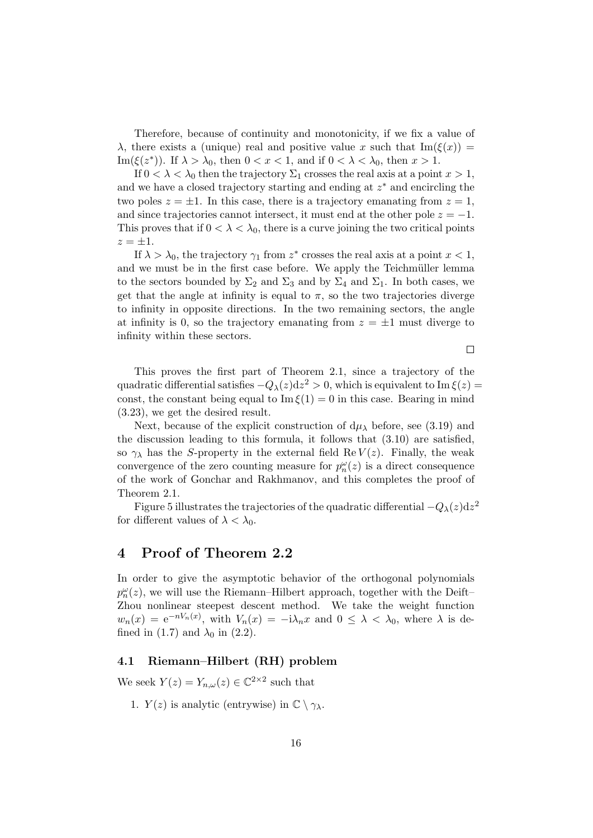Therefore, because of continuity and monotonicity, if we fix a value of λ, there exists a (unique) real and positive value x such that  $\text{Im}(\xi(x)) =$ Im( $\xi(z^*)$ ). If  $\lambda > \lambda_0$ , then  $0 < x < 1$ , and if  $0 < \lambda < \lambda_0$ , then  $x > 1$ .

If  $0 < \lambda < \lambda_0$  then the trajectory  $\Sigma_1$  crosses the real axis at a point  $x > 1$ , and we have a closed trajectory starting and ending at  $z^*$  and encircling the two poles  $z = \pm 1$ . In this case, there is a trajectory emanating from  $z = 1$ , and since trajectories cannot intersect, it must end at the other pole  $z = -1$ . This proves that if  $0 < \lambda < \lambda_0$ , there is a curve joining the two critical points  $z = \pm 1$ .

If  $\lambda > \lambda_0$ , the trajectory  $\gamma_1$  from  $z^*$  crosses the real axis at a point  $x < 1$ , and we must be in the first case before. We apply the Teichmüller lemma to the sectors bounded by  $\Sigma_2$  and  $\Sigma_3$  and by  $\Sigma_4$  and  $\Sigma_1$ . In both cases, we get that the angle at infinity is equal to  $\pi$ , so the two trajectories diverge to infinity in opposite directions. In the two remaining sectors, the angle at infinity is 0, so the trajectory emanating from  $z = \pm 1$  must diverge to infinity within these sectors.

 $\Box$ 

This proves the first part of Theorem 2.1, since a trajectory of the quadratic differential satisfies  $-Q_\lambda(z)dz^2 > 0$ , which is equivalent to Im  $\xi(z) =$ const, the constant being equal to  $\text{Im } \xi(1) = 0$  in this case. Bearing in mind (3.23), we get the desired result.

Next, because of the explicit construction of  $d\mu_{\lambda}$  before, see (3.19) and the discussion leading to this formula, it follows that (3.10) are satisfied, so  $\gamma_{\lambda}$  has the S-property in the external field ReV(z). Finally, the weak convergence of the zero counting measure for  $p_n^{\omega}(z)$  is a direct consequence of the work of Gonchar and Rakhmanov, and this completes the proof of Theorem 2.1.

Figure 5 illustrates the trajectories of the quadratic differential  $-Q_\lambda(z)\text{d} z^2$ for different values of  $\lambda < \lambda_0$ .

### 4 Proof of Theorem 2.2

In order to give the asymptotic behavior of the orthogonal polynomials  $p_n^{\omega}(z)$ , we will use the Riemann–Hilbert approach, together with the Deift– Zhou nonlinear steepest descent method. We take the weight function  $w_n(x) = e^{-nV_n(x)}$ , with  $V_n(x) = -i\lambda_n x$  and  $0 \leq \lambda < \lambda_0$ , where  $\lambda$  is defined in (1.7) and  $\lambda_0$  in (2.2).

### 4.1 Riemann–Hilbert (RH) problem

We seek  $Y(z) = Y_{n,\omega}(z) \in \mathbb{C}^{2 \times 2}$  such that

1.  $Y(z)$  is analytic (entrywise) in  $\mathbb{C} \setminus \gamma_{\lambda}$ .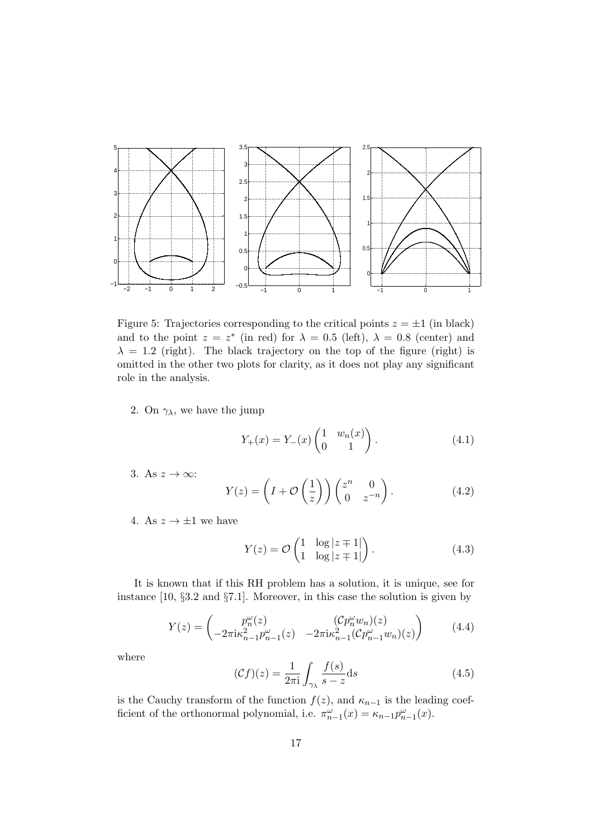

Figure 5: Trajectories corresponding to the critical points  $z = \pm 1$  (in black) and to the point  $z = z^*$  (in red) for  $\lambda = 0.5$  (left),  $\lambda = 0.8$  (center) and  $\lambda = 1.2$  (right). The black trajectory on the top of the figure (right) is omitted in the other two plots for clarity, as it does not play any significant role in the analysis.

2. On  $\gamma_{\lambda}$ , we have the jump

$$
Y_{+}(x) = Y_{-}(x) \begin{pmatrix} 1 & w_{n}(x) \\ 0 & 1 \end{pmatrix}.
$$
 (4.1)

3. As  $z \to \infty$ :

$$
Y(z) = \left(I + \mathcal{O}\left(\frac{1}{z}\right)\right) \begin{pmatrix} z^n & 0\\ 0 & z^{-n} \end{pmatrix}.
$$
 (4.2)

4. As  $z \to \pm 1$  we have

$$
Y(z) = \mathcal{O}\begin{pmatrix} 1 & \log|z+1| \\ 1 & \log|z+1| \end{pmatrix}.\tag{4.3}
$$

It is known that if this RH problem has a solution, it is unique, see for instance [10, §3.2 and §7.1]. Moreover, in this case the solution is given by

$$
Y(z) = \begin{pmatrix} p_n^{\omega}(z) & (Cp_n^{\omega}w_n)(z) \\ -2\pi i \kappa_{n-1}^2 p_{n-1}^{\omega}(z) & -2\pi i \kappa_{n-1}^2 (Cp_{n-1}^{\omega}w_n)(z) \end{pmatrix}
$$
(4.4)

where

$$
(\mathcal{C}f)(z) = \frac{1}{2\pi i} \int_{\gamma_{\lambda}} \frac{f(s)}{s - z} ds
$$
 (4.5)

is the Cauchy transform of the function  $f(z)$ , and  $\kappa_{n-1}$  is the leading coefficient of the orthonormal polynomial, i.e.  $\pi_{n-1}^{\omega}(x) = \kappa_{n-1} p_{n-1}^{\omega}(x)$ .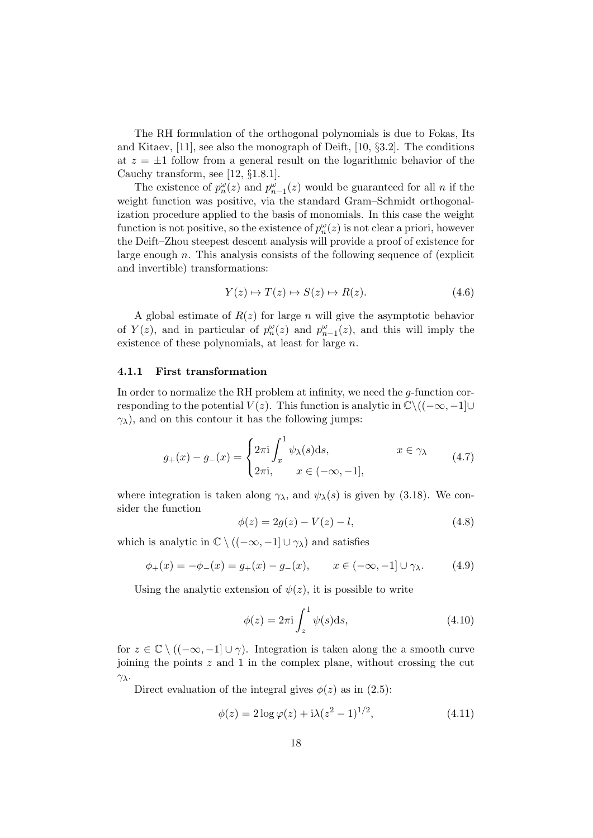The RH formulation of the orthogonal polynomials is due to Fokas, Its and Kitaev, [11], see also the monograph of Deift, [10, §3.2]. The conditions at  $z = \pm 1$  follow from a general result on the logarithmic behavior of the Cauchy transform, see [12, §1.8.1].

The existence of  $p_n^{\omega}(z)$  and  $p_{n-1}^{\omega}(z)$  would be guaranteed for all n if the weight function was positive, via the standard Gram–Schmidt orthogonalization procedure applied to the basis of monomials. In this case the weight function is not positive, so the existence of  $p_n^{\omega}(z)$  is not clear a priori, however the Deift–Zhou steepest descent analysis will provide a proof of existence for large enough n. This analysis consists of the following sequence of (explicit and invertible) transformations:

$$
Y(z) \mapsto T(z) \mapsto S(z) \mapsto R(z). \tag{4.6}
$$

A global estimate of  $R(z)$  for large n will give the asymptotic behavior of  $Y(z)$ , and in particular of  $p_n^{\omega}(z)$  and  $p_{n-1}^{\omega}(z)$ , and this will imply the existence of these polynomials, at least for large  $n$ .

#### 4.1.1 First transformation

In order to normalize the RH problem at infinity, we need the g-function corresponding to the potential  $V(z)$ . This function is analytic in  $\mathbb{C}\setminus ((-\infty, -1]\cup$  $\gamma_{\lambda}$ ), and on this contour it has the following jumps:

$$
g_{+}(x) - g_{-}(x) = \begin{cases} 2\pi i \int_{x}^{1} \psi_{\lambda}(s)ds, & x \in \gamma_{\lambda} \\ 2\pi i, & x \in (-\infty, -1], \end{cases}
$$
(4.7)

where integration is taken along  $\gamma_{\lambda}$ , and  $\psi_{\lambda}(s)$  is given by (3.18). We consider the function

$$
\phi(z) = 2g(z) - V(z) - l,\tag{4.8}
$$

which is analytic in  $\mathbb{C} \setminus ((-\infty, -1] \cup \gamma_{\lambda})$  and satisfies

$$
\phi_+(x) = -\phi_-(x) = g_+(x) - g_-(x), \qquad x \in (-\infty, -1] \cup \gamma_\lambda. \tag{4.9}
$$

Using the analytic extension of  $\psi(z)$ , it is possible to write

$$
\phi(z) = 2\pi i \int_{z}^{1} \psi(s) ds,
$$
\n(4.10)

for  $z \in \mathbb{C} \setminus ((-\infty, -1] \cup \gamma)$ . Integration is taken along the a smooth curve joining the points  $z$  and  $1$  in the complex plane, without crossing the cut  $γ<sub>λ</sub>$ .

Direct evaluation of the integral gives  $\phi(z)$  as in (2.5):

$$
\phi(z) = 2\log \varphi(z) + i\lambda (z^2 - 1)^{1/2},\tag{4.11}
$$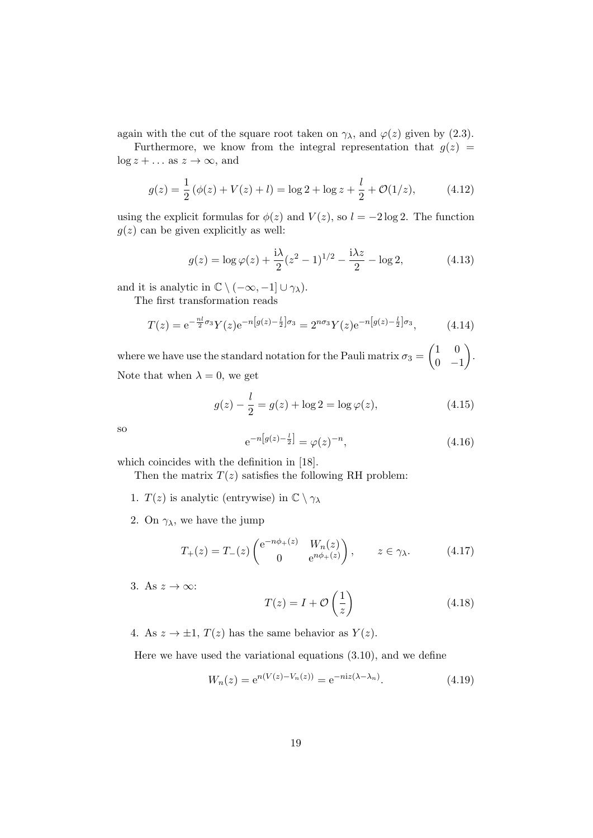again with the cut of the square root taken on  $\gamma_{\lambda}$ , and  $\varphi(z)$  given by (2.3).

Furthermore, we know from the integral representation that  $g(z)$  $\log z + \dots$  as  $z \to \infty$ , and

$$
g(z) = \frac{1}{2} \left( \phi(z) + V(z) + l \right) = \log 2 + \log z + \frac{l}{2} + \mathcal{O}(1/z), \tag{4.12}
$$

using the explicit formulas for  $\phi(z)$  and  $V(z)$ , so  $l = -2 \log 2$ . The function  $g(z)$  can be given explicitly as well:

$$
g(z) = \log \varphi(z) + \frac{i\lambda}{2} (z^2 - 1)^{1/2} - \frac{i\lambda z}{2} - \log 2,
$$
 (4.13)

and it is analytic in  $\mathbb{C} \setminus (-\infty, -1] \cup \gamma_{\lambda}$ .

The first transformation reads

$$
T(z) = e^{-\frac{nl}{2}\sigma_3} Y(z) e^{-n[g(z) - \frac{l}{2}]\sigma_3} = 2^{n\sigma_3} Y(z) e^{-n[g(z) - \frac{l}{2}]\sigma_3}, \qquad (4.14)
$$

where we have use the standard notation for the Pauli matrix  $\sigma_3 = \begin{pmatrix} 1 & 0 \\ 0 & 0 \end{pmatrix}$  $0 -1$  . Note that when  $\lambda = 0$ , we get

$$
g(z) - \frac{l}{2} = g(z) + \log 2 = \log \varphi(z),
$$
\n(4.15)

so

$$
e^{-n[g(z) - \frac{l}{2}]} = \varphi(z)^{-n},\tag{4.16}
$$

which coincides with the definition in [18].

Then the matrix  $T(z)$  satisfies the following RH problem:

- 1.  $T(z)$  is analytic (entrywise) in  $\mathbb{C} \setminus \gamma_{\lambda}$
- 2. On  $\gamma_{\lambda}$ , we have the jump

$$
T_{+}(z) = T_{-}(z) \begin{pmatrix} e^{-n\phi_{+}(z)} & W_{n}(z) \\ 0 & e^{n\phi_{+}(z)} \end{pmatrix}, \qquad z \in \gamma_{\lambda}.
$$
 (4.17)

3. As  $z \to \infty$ :

$$
T(z) = I + \mathcal{O}\left(\frac{1}{z}\right) \tag{4.18}
$$

4. As  $z \to \pm 1$ ,  $T(z)$  has the same behavior as  $Y(z)$ .

Here we have used the variational equations (3.10), and we define

$$
W_n(z) = e^{n(V(z) - V_n(z))} = e^{-niz(\lambda - \lambda_n)}.
$$
\n(4.19)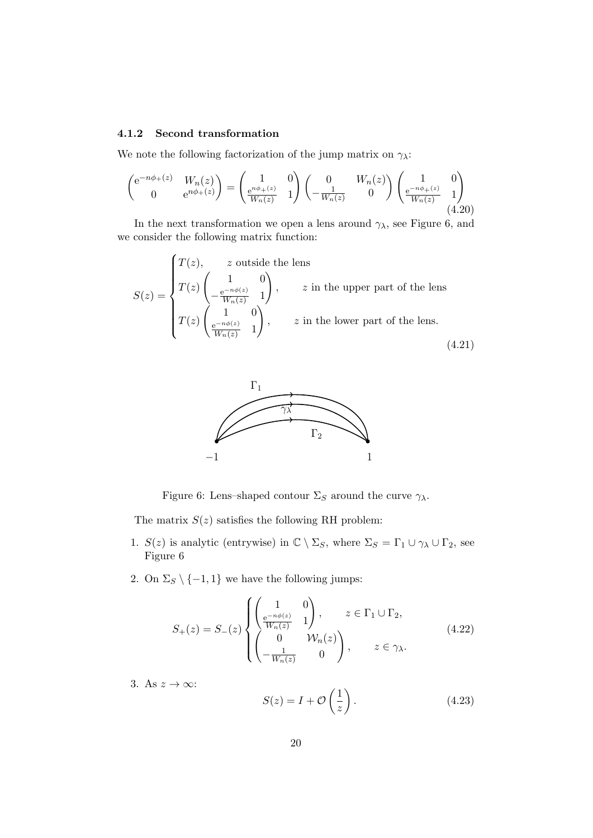### 4.1.2 Second transformation

We note the following factorization of the jump matrix on  $\gamma_{\lambda}$ :

$$
\begin{pmatrix} e^{-n\phi_+(z)} & W_n(z) \\ 0 & e^{n\phi_+(z)} \end{pmatrix} = \begin{pmatrix} 1 & 0 \\ \frac{e^{n\phi_+(z)}}{W_n(z)} & 1 \end{pmatrix} \begin{pmatrix} 0 & W_n(z) \\ -\frac{1}{W_n(z)} & 0 \end{pmatrix} \begin{pmatrix} 1 & 0 \\ \frac{e^{-n\phi_+(z)}}{W_n(z)} & 1 \end{pmatrix} \tag{4.20}
$$

In the next transformation we open a lens around  $\gamma_{\lambda}$ , see Figure 6, and we consider the following matrix function:

$$
S(z) = \begin{cases} T(z), & z \text{ outside the lens} \\ T(z) \begin{pmatrix} 1 & 0 \\ -\frac{e^{-n\phi(z)}}{W_n(z)} & 1 \end{pmatrix}, & z \text{ in the upper part of the lens} \\ T(z) \begin{pmatrix} 1 & 0 \\ \frac{e^{-n\phi(z)}}{W_n(z)} & 1 \end{pmatrix}, & z \text{ in the lower part of the lens.} \end{cases} \tag{4.21}
$$



Figure 6: Lens–shaped contour  $\Sigma_S$  around the curve  $\gamma_{\lambda}$ .

The matrix  $S(z)$  satisfies the following RH problem:

- 1.  $S(z)$  is analytic (entrywise) in  $\mathbb{C} \setminus \Sigma_S$ , where  $\Sigma_S = \Gamma_1 \cup \gamma_\lambda \cup \Gamma_2$ , see Figure 6
- 2. On  $\Sigma_S \setminus \{-1,1\}$  we have the following jumps:

$$
S_{+}(z) = S_{-}(z) \begin{cases} \begin{pmatrix} 1 & 0 \\ \frac{e^{-n\phi(z)}}{W_n(z)} & 1 \end{pmatrix}, & z \in \Gamma_1 \cup \Gamma_2, \\ \begin{pmatrix} 0 & \mathcal{W}_n(z) \\ -\frac{1}{W_n(z)} & 0 \end{pmatrix}, & z \in \gamma_{\lambda}.\end{cases}
$$
(4.22)

3. As  $z \to \infty$ :

$$
S(z) = I + \mathcal{O}\left(\frac{1}{z}\right). \tag{4.23}
$$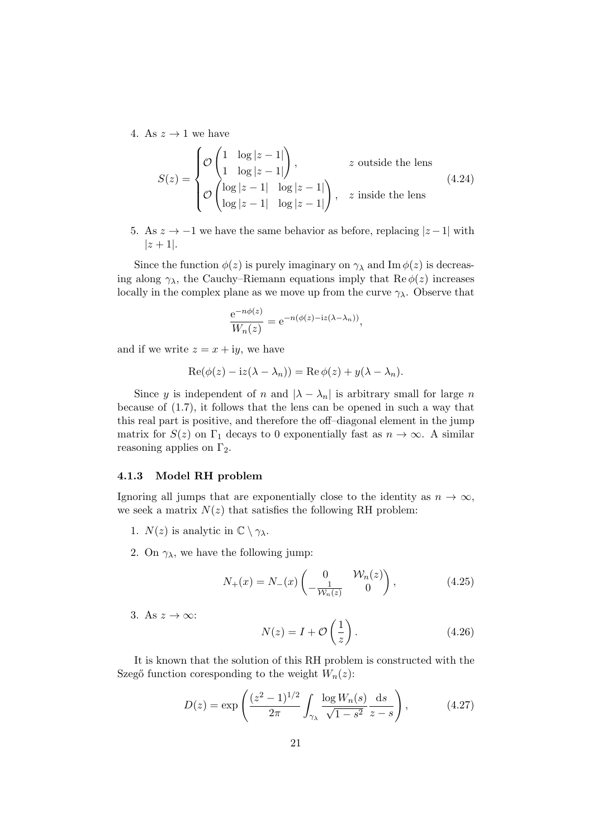4. As  $z \rightarrow 1$  we have

$$
S(z) = \begin{cases} \mathcal{O}\begin{pmatrix} 1 & \log|z-1| \\ 1 & \log|z-1| \end{pmatrix}, & z \text{ outside the lens} \\ \mathcal{O}\begin{pmatrix} \log|z-1| & \log|z-1| \\ \log|z-1| & \log|z-1| \end{pmatrix}, & z \text{ inside the lens} \end{cases} \tag{4.24}
$$

5. As  $z \to -1$  we have the same behavior as before, replacing  $|z-1|$  with  $|z + 1|$ .

Since the function  $\phi(z)$  is purely imaginary on  $\gamma_{\lambda}$  and Im  $\phi(z)$  is decreasing along  $\gamma_{\lambda}$ , the Cauchy–Riemann equations imply that Re  $\phi(z)$  increases locally in the complex plane as we move up from the curve  $\gamma_{\lambda}$ . Observe that

$$
\frac{e^{-n\phi(z)}}{W_n(z)} = e^{-n(\phi(z) - iz(\lambda - \lambda_n))},
$$

and if we write  $z = x + iy$ , we have

$$
Re(\phi(z) - iz(\lambda - \lambda_n)) = Re \phi(z) + y(\lambda - \lambda_n).
$$

Since y is independent of n and  $|\lambda - \lambda_n|$  is arbitrary small for large n because of (1.7), it follows that the lens can be opened in such a way that this real part is positive, and therefore the off–diagonal element in the jump matrix for  $S(z)$  on  $\Gamma_1$  decays to 0 exponentially fast as  $n \to \infty$ . A similar reasoning applies on  $\Gamma_2$ .

#### 4.1.3 Model RH problem

Ignoring all jumps that are exponentially close to the identity as  $n \to \infty$ , we seek a matrix  $N(z)$  that satisfies the following RH problem:

- 1.  $N(z)$  is analytic in  $\mathbb{C} \setminus \gamma_{\lambda}$ .
- 2. On  $\gamma_{\lambda}$ , we have the following jump:

$$
N_{+}(x) = N_{-}(x) \begin{pmatrix} 0 & \mathcal{W}_{n}(z) \\ -\frac{1}{\mathcal{W}_{n}(z)} & 0 \end{pmatrix},
$$
 (4.25)

3. As  $z \to \infty$ :

$$
N(z) = I + \mathcal{O}\left(\frac{1}{z}\right). \tag{4.26}
$$

It is known that the solution of this RH problem is constructed with the Szegő function coresponding to the weight  $W_n(z)$ :

$$
D(z) = \exp\left(\frac{(z^2 - 1)^{1/2}}{2\pi} \int_{\gamma_{\lambda}} \frac{\log W_n(s)}{\sqrt{1 - s^2}} \frac{ds}{z - s}\right),\tag{4.27}
$$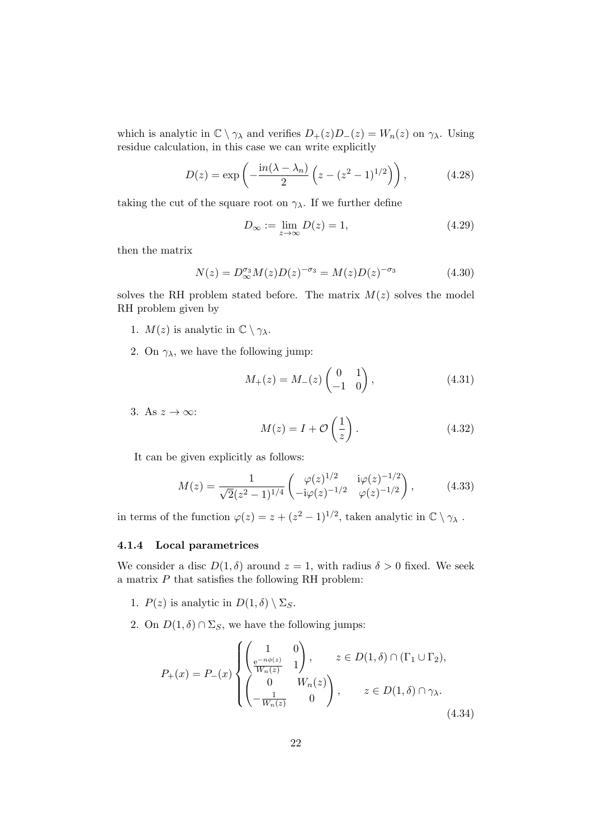which is analytic in  $\mathbb{C} \setminus \gamma_{\lambda}$  and verifies  $D_{+}(z)D_{-}(z) = W_{n}(z)$  on  $\gamma_{\lambda}$ . Using residue calculation, in this case we can write explicitly

$$
D(z) = \exp\left(-\frac{\ln(\lambda - \lambda_n)}{2} \left(z - (z^2 - 1)^{1/2}\right)\right),\tag{4.28}
$$

taking the cut of the square root on  $\gamma_{\lambda}$ . If we further define

$$
D_{\infty} := \lim_{z \to \infty} D(z) = 1,\tag{4.29}
$$

then the matrix

$$
N(z) = D_{\infty}^{\sigma_3} M(z) D(z)^{-\sigma_3} = M(z) D(z)^{-\sigma_3}
$$
 (4.30)

solves the RH problem stated before. The matrix  $M(z)$  solves the model RH problem given by

- 1.  $M(z)$  is analytic in  $\mathbb{C} \setminus \gamma_{\lambda}$ .
- 2. On  $\gamma_{\lambda}$ , we have the following jump:

$$
M_{+}(z) = M_{-}(z) \begin{pmatrix} 0 & 1 \\ -1 & 0 \end{pmatrix}, \qquad (4.31)
$$

3. As  $z \to \infty$ :

$$
M(z) = I + \mathcal{O}\left(\frac{1}{z}\right). \tag{4.32}
$$

It can be given explicitly as follows:

$$
M(z) = \frac{1}{\sqrt{2}(z^2 - 1)^{1/4}} \begin{pmatrix} \varphi(z)^{1/2} & i\varphi(z)^{-1/2} \\ -i\varphi(z)^{-1/2} & \varphi(z)^{-1/2} \end{pmatrix},
$$
(4.33)

in terms of the function  $\varphi(z) = z + (z^2 - 1)^{1/2}$ , taken analytic in  $\mathbb{C} \setminus \gamma_\lambda$ .

### 4.1.4 Local parametrices

We consider a disc  $D(1, \delta)$  around  $z = 1$ , with radius  $\delta > 0$  fixed. We seek a matrix  $P$  that satisfies the following RH problem:

- 1.  $P(z)$  is analytic in  $D(1, \delta) \setminus \Sigma_S$ .
- 2. On  $D(1,\delta) \cap \Sigma_S$ , we have the following jumps:

$$
P_{+}(x) = P_{-}(x) \begin{cases} \begin{pmatrix} 1 & 0 \\ \frac{e^{-n\phi(z)}}{W_n(z)} & 1 \end{pmatrix}, & z \in D(1,\delta) \cap (\Gamma_1 \cup \Gamma_2), \\ \begin{pmatrix} 0 & W_n(z) \\ -\frac{1}{W_n(z)} & 0 \end{pmatrix}, & z \in D(1,\delta) \cap \gamma_{\lambda}. \end{cases}
$$
\n
$$
(4.34)
$$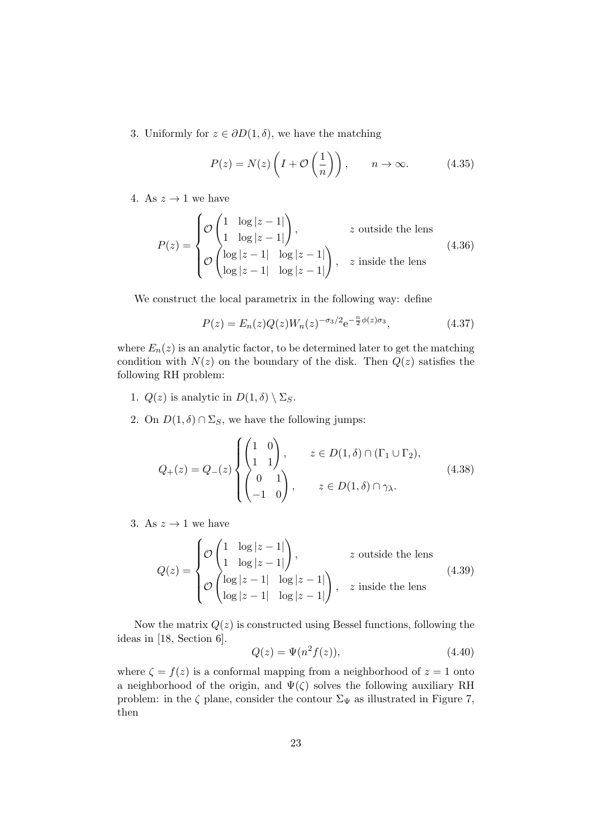3. Uniformly for  $z \in \partial D(1, \delta)$ , we have the matching

$$
P(z) = N(z) \left( I + \mathcal{O}\left(\frac{1}{n}\right) \right), \qquad n \to \infty.
$$
 (4.35)

4. As  $z \rightarrow 1$  we have

$$
P(z) = \begin{cases} \mathcal{O}\begin{pmatrix} 1 & \log|z-1| \\ 1 & \log|z-1| \end{pmatrix}, & z \text{ outside the lens} \\ \mathcal{O}\begin{pmatrix} \log|z-1| & \log|z-1| \\ \log|z-1| & \log|z-1| \end{pmatrix}, & z \text{ inside the lens} \end{cases} \tag{4.36}
$$

We construct the local parametrix in the following way: define

$$
P(z) = E_n(z)Q(z)W_n(z)^{-\sigma_3/2}e^{-\frac{n}{2}\phi(z)\sigma_3},\tag{4.37}
$$

where  $E_n(z)$  is an analytic factor, to be determined later to get the matching condition with  $N(z)$  on the boundary of the disk. Then  $Q(z)$  satisfies the following RH problem:

- 1.  $Q(z)$  is analytic in  $D(1,\delta) \setminus \Sigma_S$ .
- 2. On  $D(1,\delta) \cap \Sigma_S$ , we have the following jumps:

$$
Q_{+}(z) = Q_{-}(z) \begin{cases} \begin{pmatrix} 1 & 0 \\ 1 & 1 \end{pmatrix}, & z \in D(1,\delta) \cap (\Gamma_1 \cup \Gamma_2), \\ \begin{pmatrix} 0 & 1 \\ -1 & 0 \end{pmatrix}, & z \in D(1,\delta) \cap \gamma_{\lambda}. \end{cases}
$$
(4.38)

3. As  $z \to 1$  we have

$$
Q(z) = \begin{cases} \mathcal{O}\begin{pmatrix} 1 & \log|z-1| \\ 1 & \log|z-1| \end{pmatrix}, & z \text{ outside the lens} \\ \mathcal{O}\begin{pmatrix} \log|z-1| & \log|z-1| \\ \log|z-1| & \log|z-1| \end{pmatrix}, & z \text{ inside the lens} \end{cases} \tag{4.39}
$$

Now the matrix  $Q(z)$  is constructed using Bessel functions, following the ideas in [18, Section 6].

$$
Q(z) = \Psi(n^2 f(z)),\tag{4.40}
$$

where  $\zeta = f(z)$  is a conformal mapping from a neighborhood of  $z = 1$  onto a neighborhood of the origin, and  $\Psi(\zeta)$  solves the following auxiliary RH problem: in the  $\zeta$  plane, consider the contour  $\Sigma_{\Psi}$  as illustrated in Figure 7, then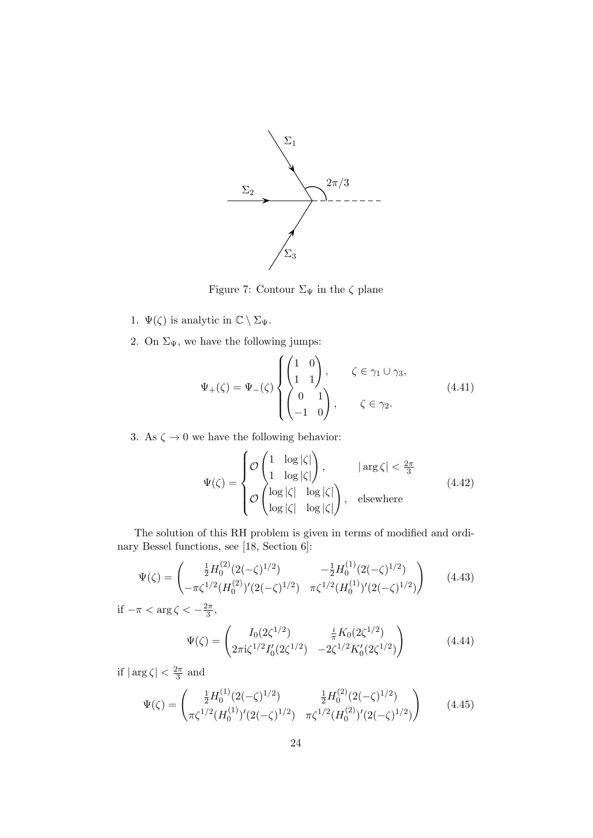

Figure 7: Contour  $\Sigma_\Psi$  in the  $\zeta$  plane

- 1.  $\Psi(\zeta)$  is analytic in  $\mathbb{C} \setminus \Sigma_{\Psi}$ .
- 2. On  $\Sigma_{\Psi}$ , we have the following jumps:

$$
\Psi_{+}(\zeta) = \Psi_{-}(\zeta) \begin{cases} \begin{pmatrix} 1 & 0 \\ 1 & 1 \end{pmatrix}, & \zeta \in \gamma_{1} \cup \gamma_{3}, \\ \begin{pmatrix} 0 & 1 \\ -1 & 0 \end{pmatrix}, & \zeta \in \gamma_{2}. \end{cases}
$$
(4.41)

3. As  $\zeta \to 0$  we have the following behavior:

$$
\Psi(\zeta) = \begin{cases}\n\mathcal{O}\begin{pmatrix}\n1 & \log|\zeta| \\
1 & \log|\zeta|\n\end{pmatrix}, & \left|\arg \zeta\right| < \frac{2\pi}{3} \\
\mathcal{O}\begin{pmatrix}\n\log|\zeta| & \log|\zeta| \\
\log|\zeta| & \log|\zeta|\n\end{pmatrix}, & \text{elsewhere}\n\end{cases}
$$
\n(4.42)

The solution of this RH problem is given in terms of modified and ordinary Bessel functions, see [18, Section 6]:

$$
\Psi(\zeta) = \begin{pmatrix} \frac{1}{2} H_0^{(2)} (2(-\zeta)^{1/2}) & -\frac{1}{2} H_0^{(1)} (2(-\zeta)^{1/2}) \\ -\pi \zeta^{1/2} (H_0^{(2)})' (2(-\zeta)^{1/2}) & \pi \zeta^{1/2} (H_0^{(1)})' (2(-\zeta)^{1/2}) \end{pmatrix}
$$
(4.43)

if  $-\pi < \arg \zeta < -\frac{2\pi}{3}$  $\frac{2\pi}{3}$ ,

$$
\Psi(\zeta) = \begin{pmatrix} I_0(2\zeta^{1/2}) & \frac{i}{\pi} K_0(2\zeta^{1/2}) \\ 2\pi i \zeta^{1/2} I_0'(2\zeta^{1/2}) & -2\zeta^{1/2} K_0'(2\zeta^{1/2}) \end{pmatrix}
$$
(4.44)

if  $|\arg \zeta| < \frac{2\pi}{3}$  $rac{2\pi}{3}$  and

$$
\Psi(\zeta) = \begin{pmatrix} \frac{1}{2}H_0^{(1)}(2(-\zeta)^{1/2}) & \frac{1}{2}H_0^{(2)}(2(-\zeta)^{1/2})\\ \pi\zeta^{1/2}(H_0^{(1)})'(2(-\zeta)^{1/2}) & \pi\zeta^{1/2}(H_0^{(2)})'(2(-\zeta)^{1/2}) \end{pmatrix}
$$
(4.45)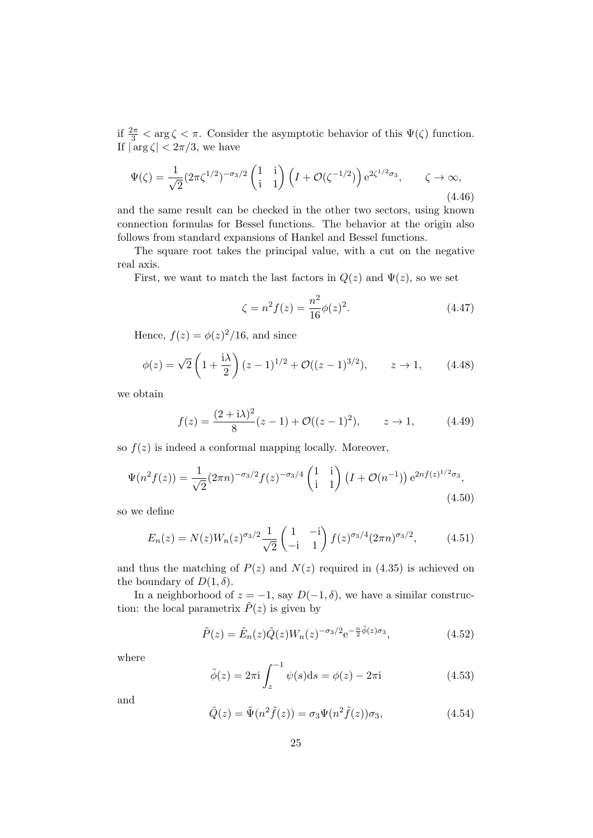if  $\frac{2\pi}{3} < \arg \zeta < \pi$ . Consider the asymptotic behavior of this  $\Psi(\zeta)$  function. If  $|\arg \zeta| < 2\pi/3$ , we have

$$
\Psi(\zeta) = \frac{1}{\sqrt{2}} (2\pi \zeta^{1/2})^{-\sigma_3/2} \begin{pmatrix} 1 & \mathrm{i} \\ \mathrm{i} & 1 \end{pmatrix} \left( I + \mathcal{O}(\zeta^{-1/2}) \right) \mathrm{e}^{2\zeta^{1/2}\sigma_3}, \qquad \zeta \to \infty,
$$
\n(4.46)

and the same result can be checked in the other two sectors, using known connection formulas for Bessel functions. The behavior at the origin also follows from standard expansions of Hankel and Bessel functions.

The square root takes the principal value, with a cut on the negative real axis.

First, we want to match the last factors in  $Q(z)$  and  $\Psi(z)$ , so we set

$$
\zeta = n^2 f(z) = \frac{n^2}{16} \phi(z)^2.
$$
 (4.47)

Hence,  $f(z) = \phi(z)^2/16$ , and since

$$
\phi(z) = \sqrt{2} \left( 1 + \frac{i\lambda}{2} \right) (z - 1)^{1/2} + \mathcal{O}((z - 1)^{3/2}), \qquad z \to 1,
$$
 (4.48)

we obtain

$$
f(z) = \frac{(2+i\lambda)^2}{8}(z-1) + \mathcal{O}((z-1)^2), \qquad z \to 1,
$$
 (4.49)

so  $f(z)$  is indeed a conformal mapping locally. Moreover,

$$
\Psi(n^2 f(z)) = \frac{1}{\sqrt{2}} (2\pi n)^{-\sigma_3/2} f(z)^{-\sigma_3/4} \begin{pmatrix} 1 & \mathbf{i} \\ \mathbf{i} & 1 \end{pmatrix} \left( I + \mathcal{O}(n^{-1}) \right) e^{2n f(z)^{1/2} \sigma_3},\tag{4.50}
$$

so we define

$$
E_n(z) = N(z)W_n(z)^{\sigma_3/2} \frac{1}{\sqrt{2}} \begin{pmatrix} 1 & -i \\ -i & 1 \end{pmatrix} f(z)^{\sigma_3/4} (2\pi n)^{\sigma_3/2}, \quad (4.51)
$$

and thus the matching of  $P(z)$  and  $N(z)$  required in (4.35) is achieved on the boundary of  $D(1,\delta)$ .

In a neighborhood of  $z = -1$ , say  $D(-1, \delta)$ , we have a similar construction: the local parametrix  $\tilde{P}(z)$  is given by

$$
\tilde{P}(z) = \tilde{E}_n(z)\tilde{Q}(z)W_n(z)^{-\sigma_3/2}e^{-\frac{n}{2}\tilde{\phi}(z)\sigma_3},\tag{4.52}
$$

where

$$
\tilde{\phi}(z) = 2\pi i \int_{z}^{-1} \psi(s)ds = \phi(z) - 2\pi i \tag{4.53}
$$

and

$$
\tilde{Q}(z) = \tilde{\Psi}(n^2 \tilde{f}(z)) = \sigma_3 \Psi(n^2 \tilde{f}(z)) \sigma_3, \qquad (4.54)
$$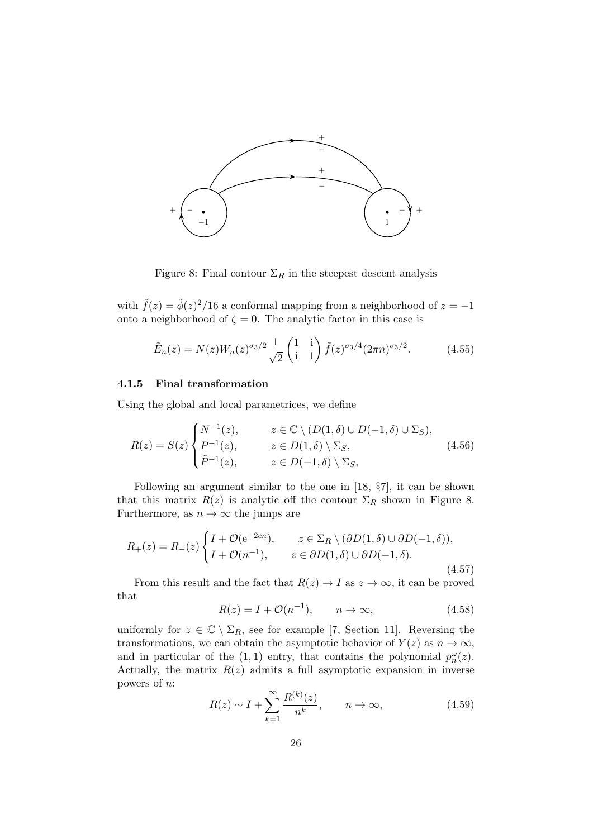

Figure 8: Final contour  $\Sigma_R$  in the steepest descent analysis

with  $\tilde{f}(z) = \tilde{\phi}(z)^2/16$  a conformal mapping from a neighborhood of  $z = -1$ onto a neighborhood of  $\zeta = 0$ . The analytic factor in this case is

$$
\tilde{E}_n(z) = N(z)W_n(z)^{\sigma_3/2} \frac{1}{\sqrt{2}} \begin{pmatrix} 1 & \mathrm{i} \\ \mathrm{i} & 1 \end{pmatrix} \tilde{f}(z)^{\sigma_3/4} (2\pi n)^{\sigma_3/2}.\tag{4.55}
$$

### 4.1.5 Final transformation

Using the global and local parametrices, we define

$$
R(z) = S(z) \begin{cases} N^{-1}(z), & z \in \mathbb{C} \setminus (D(1,\delta) \cup D(-1,\delta) \cup \Sigma_S), \\ P^{-1}(z), & z \in D(1,\delta) \setminus \Sigma_S, \\ \tilde{P}^{-1}(z), & z \in D(-1,\delta) \setminus \Sigma_S, \end{cases}
$$
(4.56)

Following an argument similar to the one in [18, §7], it can be shown that this matrix  $R(z)$  is analytic off the contour  $\Sigma_R$  shown in Figure 8. Furthermore, as  $n \to \infty$  the jumps are

$$
R_{+}(z) = R_{-}(z) \begin{cases} I + \mathcal{O}(e^{-2cn}), & z \in \Sigma_R \setminus (\partial D(1,\delta) \cup \partial D(-1,\delta)), \\ I + \mathcal{O}(n^{-1}), & z \in \partial D(1,\delta) \cup \partial D(-1,\delta). \end{cases} \tag{4.57}
$$

From this result and the fact that  $R(z) \to I$  as  $z \to \infty$ , it can be proved that

$$
R(z) = I + \mathcal{O}(n^{-1}), \qquad n \to \infty,
$$
\n(4.58)

uniformly for  $z \in \mathbb{C} \setminus \Sigma_R$ , see for example [7, Section 11]. Reversing the transformations, we can obtain the asymptotic behavior of  $Y(z)$  as  $n \to \infty$ , and in particular of the (1,1) entry, that contains the polynomial  $p_n^{\omega}(z)$ . Actually, the matrix  $R(z)$  admits a full asymptotic expansion in inverse powers of n:

$$
R(z) \sim I + \sum_{k=1}^{\infty} \frac{R^{(k)}(z)}{n^k}, \qquad n \to \infty,
$$
\n(4.59)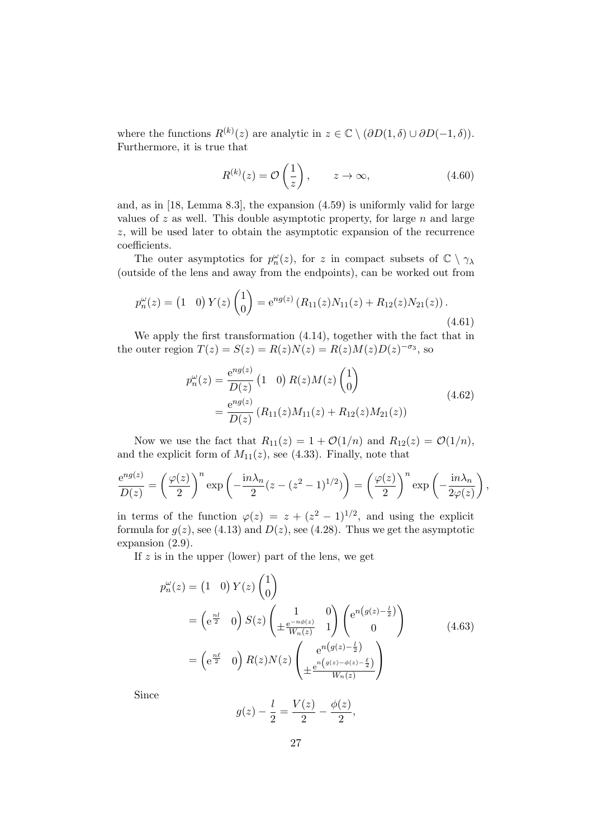where the functions  $R^{(k)}(z)$  are analytic in  $z \in \mathbb{C} \setminus (\partial D(1,\delta) \cup \partial D(-1,\delta)).$ Furthermore, it is true that

$$
R^{(k)}(z) = \mathcal{O}\left(\frac{1}{z}\right), \qquad z \to \infty,
$$
\n(4.60)

and, as in [18, Lemma 8.3], the expansion (4.59) is uniformly valid for large values of  $z$  as well. This double asymptotic property, for large  $n$  and large z, will be used later to obtain the asymptotic expansion of the recurrence coefficients.

The outer asymptotics for  $p_n^{\omega}(z)$ , for z in compact subsets of  $\mathbb{C} \setminus \gamma_{\lambda}$ (outside of the lens and away from the endpoints), can be worked out from

$$
p_n^{\omega}(z) = (1 \ 0) Y(z) {1 \choose 0} = e^{ng(z)} (R_{11}(z)N_{11}(z) + R_{12}(z)N_{21}(z)).
$$
\n(4.61)

We apply the first transformation (4.14), together with the fact that in the outer region  $T(z) = S(z) = R(z)N(z) = R(z)M(z)D(z)^{-\sigma_3}$ , so

$$
p_n^{\omega}(z) = \frac{e^{ng(z)}}{D(z)} (1 \quad 0) R(z)M(z) {1 \choose 0}
$$
  
= 
$$
\frac{e^{ng(z)}}{D(z)} (R_{11}(z)M_{11}(z) + R_{12}(z)M_{21}(z))
$$
 (4.62)

Now we use the fact that  $R_{11}(z) = 1 + \mathcal{O}(1/n)$  and  $R_{12}(z) = \mathcal{O}(1/n)$ , and the explicit form of  $M_{11}(z)$ , see (4.33). Finally, note that

$$
\frac{e^{ng(z)}}{D(z)} = \left(\frac{\varphi(z)}{2}\right)^n \exp\left(-\frac{\mathrm{i}n\lambda_n}{2}(z - (z^2 - 1)^{1/2})\right) = \left(\frac{\varphi(z)}{2}\right)^n \exp\left(-\frac{\mathrm{i}n\lambda_n}{2\varphi(z)}\right),
$$

in terms of the function  $\varphi(z) = z + (z^2 - 1)^{1/2}$ , and using the explicit formula for  $g(z)$ , see (4.13) and  $D(z)$ , see (4.28). Thus we get the asymptotic expansion (2.9).

If  $z$  is in the upper (lower) part of the lens, we get

$$
p_n^{\omega}(z) = (1 \quad 0) Y(z) \begin{pmatrix} 1 \\ 0 \end{pmatrix}
$$
  
=  $\begin{pmatrix} e^{\frac{nl}{2}} & 0 \end{pmatrix} S(z) \begin{pmatrix} 1 \\ \pm \frac{e^{-n\phi(z)}}{W_n(z)} & 1 \end{pmatrix} \begin{pmatrix} e^{n(g(z) - \frac{l}{2})} \\ 0 \end{pmatrix}$   
=  $\begin{pmatrix} e^{\frac{n\ell}{2}} & 0 \end{pmatrix} R(z) N(z) \begin{pmatrix} e^{n(g(z) - \frac{l}{2})} \\ \pm \frac{e^{n(g(z) - \phi(z) - \frac{\ell}{2})}}{W_n(z)} \end{pmatrix}$  (4.63)

Since

$$
g(z) - \frac{l}{2} = \frac{V(z)}{2} - \frac{\phi(z)}{2},
$$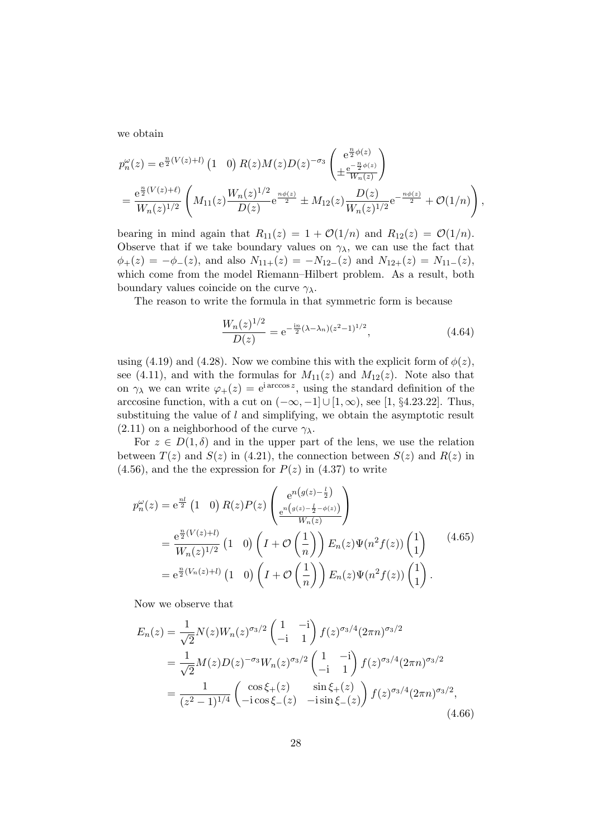we obtain

$$
p_n^{\omega}(z) = e^{\frac{n}{2}(V(z)+l)} (1 \quad 0) R(z)M(z)D(z)^{-\sigma_3} \begin{pmatrix} e^{\frac{n}{2}\phi(z)} \\ \pm \frac{e^{-\frac{n}{2}\phi(z)}}{W_n(z)} \end{pmatrix}
$$
  
= 
$$
\frac{e^{\frac{n}{2}(V(z)+\ell)}}{W_n(z)^{1/2}} \begin{pmatrix} M_{11}(z) \frac{W_n(z)^{1/2}}{D(z)} e^{\frac{n\phi(z)}{2}} \pm M_{12}(z) \frac{D(z)}{W_n(z)^{1/2}} e^{-\frac{n\phi(z)}{2}} + \mathcal{O}(1/n) \end{pmatrix},
$$

bearing in mind again that  $R_{11}(z) = 1 + \mathcal{O}(1/n)$  and  $R_{12}(z) = \mathcal{O}(1/n)$ . Observe that if we take boundary values on  $\gamma_{\lambda}$ , we can use the fact that  $\phi_{+}(z) = -\phi_{-}(z)$ , and also  $N_{11+}(z) = -N_{12-}(z)$  and  $N_{12+}(z) = N_{11-}(z)$ , which come from the model Riemann–Hilbert problem. As a result, both boundary values coincide on the curve  $\gamma_{\lambda}$ .

The reason to write the formula in that symmetric form is because

$$
\frac{W_n(z)^{1/2}}{D(z)} = e^{-\frac{in}{2}(\lambda - \lambda_n)(z^2 - 1)^{1/2}},
$$
\n(4.64)

using (4.19) and (4.28). Now we combine this with the explicit form of  $\phi(z)$ , see (4.11), and with the formulas for  $M_{11}(z)$  and  $M_{12}(z)$ . Note also that on  $\gamma_{\lambda}$  we can write  $\varphi_{+}(z) = e^{i \arccos z}$ , using the standard definition of the arccosine function, with a cut on  $(-\infty, -1] \cup [1, \infty)$ , see [1, §4.23.22]. Thus, substituing the value of l and simplifying, we obtain the asymptotic result (2.11) on a neighborhood of the curve  $\gamma_{\lambda}$ .

For  $z \in D(1,\delta)$  and in the upper part of the lens, we use the relation between  $T(z)$  and  $S(z)$  in (4.21), the connection between  $S(z)$  and  $R(z)$  in  $(4.56)$ , and the the expression for  $P(z)$  in  $(4.37)$  to write

$$
p_n^{\omega}(z) = e^{\frac{nl}{2}} (1 \quad 0) R(z) P(z) \begin{pmatrix} e^{n(g(z) - \frac{l}{2})} \\ \frac{e^{n(g(z) - \frac{l}{2} - \phi(z))}}{W_n(z)} \end{pmatrix}
$$
  
=  $\frac{e^{\frac{n}{2}(V(z) + l)}}{W_n(z)^{1/2}} (1 \quad 0) (I + \mathcal{O}\left(\frac{1}{n}\right)) E_n(z) \Psi(n^2 f(z)) \begin{pmatrix} 1 \\ 1 \end{pmatrix}$  (4.65)  
=  $e^{\frac{n}{2}(V_n(z) + l)} (1 \quad 0) (I + \mathcal{O}\left(\frac{1}{n}\right)) E_n(z) \Psi(n^2 f(z)) \begin{pmatrix} 1 \\ 1 \end{pmatrix}.$ 

Now we observe that

$$
E_n(z) = \frac{1}{\sqrt{2}} N(z) W_n(z)^{\sigma_3/2} \begin{pmatrix} 1 & -i \\ -i & 1 \end{pmatrix} f(z)^{\sigma_3/4} (2\pi n)^{\sigma_3/2}
$$
  
= 
$$
\frac{1}{\sqrt{2}} M(z) D(z)^{-\sigma_3} W_n(z)^{\sigma_3/2} \begin{pmatrix} 1 & -i \\ -i & 1 \end{pmatrix} f(z)^{\sigma_3/4} (2\pi n)^{\sigma_3/2}
$$
  
= 
$$
\frac{1}{(z^2 - 1)^{1/4}} \begin{pmatrix} \cos \xi_+(z) & \sin \xi_+(z) \\ -i \cos \xi_-(z) & -i \sin \xi_-(z) \end{pmatrix} f(z)^{\sigma_3/4} (2\pi n)^{\sigma_3/2},
$$
(4.66)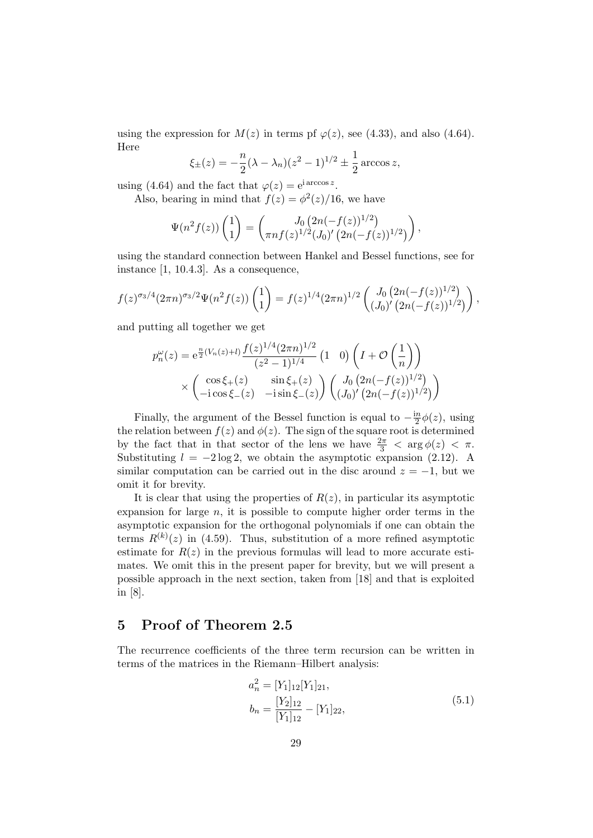using the expression for  $M(z)$  in terms pf  $\varphi(z)$ , see (4.33), and also (4.64). Here

$$
\xi_{\pm}(z) = -\frac{n}{2}(\lambda - \lambda_n)(z^2 - 1)^{1/2} \pm \frac{1}{2} \arccos z,
$$

using (4.64) and the fact that  $\varphi(z) = e^{i \arccos z}$ .

Also, bearing in mind that  $f(z) = \phi^2(z)/16$ , we have

$$
\Psi(n^2 f(z))\begin{pmatrix}1\\1\end{pmatrix} = \begin{pmatrix}J_0(2n(-f(z))^{1/2})\\ \pi n f(z)^{1/2}(J_0)'(2n(-f(z))^{1/2})\end{pmatrix},
$$

using the standard connection between Hankel and Bessel functions, see for instance [1, 10.4.3]. As a consequence,

$$
f(z)^{\sigma_3/4} (2\pi n)^{\sigma_3/2} \Psi(n^2 f(z)) {1 \choose 1} = f(z)^{1/4} (2\pi n)^{1/2} \begin{pmatrix} J_0 (2n(-f(z))^{1/2}) \\ (J_0)' (2n(-f(z))^{1/2}) \end{pmatrix},
$$

and putting all together we get

$$
p_n^{\omega}(z) = e^{\frac{n}{2}(V_n(z)+l)} \frac{f(z)^{1/4} (2\pi n)^{1/2}}{(z^2-1)^{1/4}} (1 \ 0) \left( I + \mathcal{O}\left(\frac{1}{n}\right) \right)
$$

$$
\times \begin{pmatrix} \cos \xi_+(z) & \sin \xi_+(z) \\ -i \cos \xi_-(z) & -i \sin \xi_-(z) \end{pmatrix} \begin{pmatrix} J_0 \left( 2n(-f(z))^{1/2} \right) \\ (J_0)' \left( 2n(-f(z))^{1/2} \right) \end{pmatrix}
$$

Finally, the argument of the Bessel function is equal to  $-\frac{in}{2}$  $\frac{\pi}{2}\phi(z)$ , using the relation between  $f(z)$  and  $\phi(z)$ . The sign of the square root is determined by the fact that in that sector of the lens we have  $\frac{2\pi}{3} < \arg \phi(z) < \pi$ . Substituting  $l = -2 \log 2$ , we obtain the asymptotic expansion (2.12). A similar computation can be carried out in the disc around  $z = -1$ , but we omit it for brevity.

It is clear that using the properties of  $R(z)$ , in particular its asymptotic expansion for large  $n$ , it is possible to compute higher order terms in the asymptotic expansion for the orthogonal polynomials if one can obtain the terms  $R^{(k)}(z)$  in (4.59). Thus, substitution of a more refined asymptotic estimate for  $R(z)$  in the previous formulas will lead to more accurate estimates. We omit this in the present paper for brevity, but we will present a possible approach in the next section, taken from [18] and that is exploited in [8].

### 5 Proof of Theorem 2.5

The recurrence coefficients of the three term recursion can be written in terms of the matrices in the Riemann–Hilbert analysis:

$$
a_n^2 = [Y_1]_{12}[Y_1]_{21},
$$
  
\n
$$
b_n = \frac{[Y_2]_{12}}{[Y_1]_{12}} - [Y_1]_{22},
$$
\n(5.1)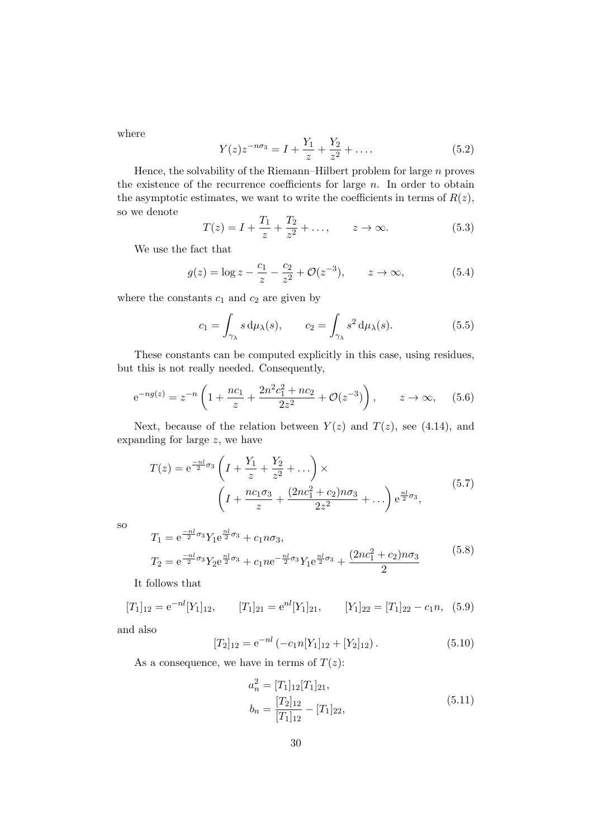where

$$
Y(z)z^{-n\sigma_3} = I + \frac{Y_1}{z} + \frac{Y_2}{z^2} + \dots
$$
 (5.2)

Hence, the solvability of the Riemann–Hilbert problem for large  $n$  proves the existence of the recurrence coefficients for large  $n$ . In order to obtain the asymptotic estimates, we want to write the coefficients in terms of  $R(z)$ , so we denote

$$
T(z) = I + \frac{T_1}{z} + \frac{T_2}{z^2} + \dots, \qquad z \to \infty.
$$
 (5.3)

We use the fact that

$$
g(z) = \log z - \frac{c_1}{z} - \frac{c_2}{z^2} + \mathcal{O}(z^{-3}), \qquad z \to \infty,
$$
 (5.4)

where the constants  $c_1$  and  $c_2$  are given by

$$
c_1 = \int_{\gamma_\lambda} s \, d\mu_\lambda(s), \qquad c_2 = \int_{\gamma_\lambda} s^2 \, d\mu_\lambda(s). \tag{5.5}
$$

These constants can be computed explicitly in this case, using residues, but this is not really needed. Consequently,

$$
e^{-ng(z)} = z^{-n} \left( 1 + \frac{nc_1}{z} + \frac{2n^2c_1^2 + nc_2}{2z^2} + \mathcal{O}(z^{-3}) \right), \qquad z \to \infty,
$$
 (5.6)

Next, because of the relation between  $Y(z)$  and  $T(z)$ , see (4.14), and expanding for large z, we have

$$
T(z) = e^{\frac{-nl}{2}\sigma_3} \left( I + \frac{Y_1}{z} + \frac{Y_2}{z^2} + \dots \right) \times \left( I + \frac{nc_1\sigma_3}{z} + \frac{(2nc_1^2 + c_2)n\sigma_3}{2z^2} + \dots \right) e^{\frac{nl}{2}\sigma_3},
$$
\n(5.7)

so

$$
T_1 = e^{\frac{-nl}{2}\sigma_3} Y_1 e^{\frac{nl}{2}\sigma_3} + c_1 n \sigma_3,
$$
  
\n
$$
T_2 = e^{\frac{-nl}{2}\sigma_3} Y_2 e^{\frac{nl}{2}\sigma_3} + c_1 n e^{-\frac{nl}{2}\sigma_3} Y_1 e^{\frac{nl}{2}\sigma_3} + \frac{(2nc_1^2 + c_2)n\sigma_3}{2}
$$
\n(5.8)

It follows that

$$
[T_1]_{12} = e^{-nl}[Y_1]_{12}, \qquad [T_1]_{21} = e^{nl}[Y_1]_{21}, \qquad [Y_1]_{22} = [T_1]_{22} - c_1 n, \quad (5.9)
$$

and also

$$
[T_2]_{12} = e^{-nl} \left( -c_1 n[Y_1]_{12} + [Y_2]_{12} \right). \tag{5.10}
$$

As a consequence, we have in terms of  $T(z)$ :

$$
a_n^2 = [T_1]_{12}[T_1]_{21},
$$
  
\n
$$
b_n = \frac{[T_2]_{12}}{[T_1]_{12}} - [T_1]_{22},
$$
\n(5.11)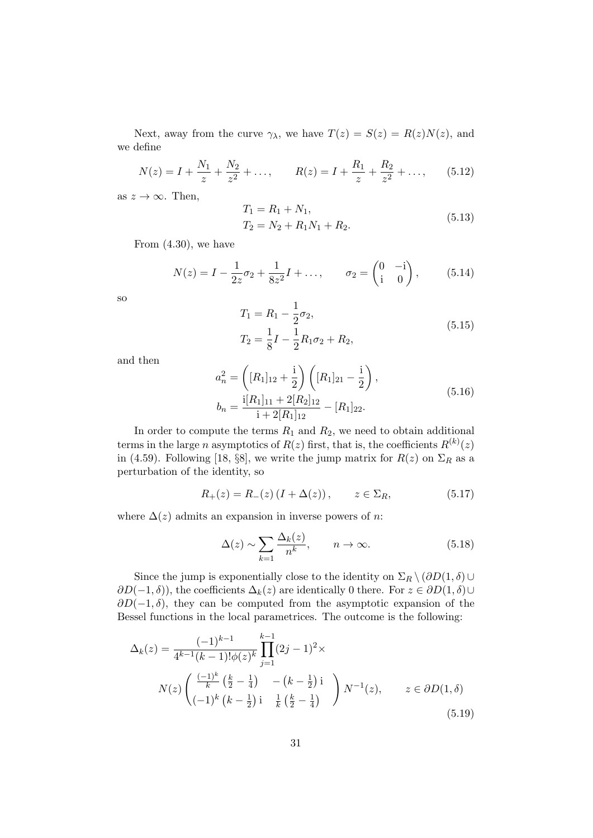Next, away from the curve  $\gamma_{\lambda}$ , we have  $T(z) = S(z) = R(z)N(z)$ , and we define

$$
N(z) = I + \frac{N_1}{z} + \frac{N_2}{z^2} + \dots, \qquad R(z) = I + \frac{R_1}{z} + \frac{R_2}{z^2} + \dots, \qquad (5.12)
$$

as  $z \to \infty$ . Then,

$$
T_1 = R_1 + N_1,
$$
  
\n
$$
T_2 = N_2 + R_1 N_1 + R_2.
$$
\n(5.13)

From  $(4.30)$ , we have

$$
N(z) = I - \frac{1}{2z}\sigma_2 + \frac{1}{8z^2}I + \dots, \qquad \sigma_2 = \begin{pmatrix} 0 & -i \\ i & 0 \end{pmatrix}, \qquad (5.14)
$$

so

$$
T_1 = R_1 - \frac{1}{2}\sigma_2,
$$
  
\n
$$
T_2 = \frac{1}{8}I - \frac{1}{2}R_1\sigma_2 + R_2,
$$
\n(5.15)

and then

$$
a_n^2 = \left( [R_1]_{12} + \frac{1}{2} \right) \left( [R_1]_{21} - \frac{1}{2} \right),
$$
  
\n
$$
b_n = \frac{i[R_1]_{11} + 2[R_2]_{12}}{i + 2[R_1]_{12}} - [R_1]_{22}.
$$
\n(5.16)

In order to compute the terms  $R_1$  and  $R_2$ , we need to obtain additional terms in the large n asymptotics of  $R(z)$  first, that is, the coefficients  $R^{(k)}(z)$ in (4.59). Following [18, §8], we write the jump matrix for  $R(z)$  on  $\Sigma_R$  as a perturbation of the identity, so

1

$$
R_{+}(z) = R_{-}(z) (I + \Delta(z)), \qquad z \in \Sigma_R,
$$
 (5.17)

where  $\Delta(z)$  admits an expansion in inverse powers of n:

$$
\Delta(z) \sim \sum_{k=1}^{\infty} \frac{\Delta_k(z)}{n^k}, \qquad n \to \infty.
$$
 (5.18)

Since the jump is exponentially close to the identity on  $\Sigma_R \setminus (\partial D(1, \delta) \cup$  $\partial D(-1,\delta)$ , the coefficients  $\Delta_k(z)$  are identically 0 there. For  $z \in \partial D(1,\delta) \cup$  $\partial D(-1,\delta)$ , they can be computed from the asymptotic expansion of the Bessel functions in the local parametrices. The outcome is the following:

$$
\Delta_k(z) = \frac{(-1)^{k-1}}{4^{k-1}(k-1)!\phi(z)^k} \prod_{j=1}^{k-1} (2j-1)^2 \times
$$
  

$$
N(z) \begin{pmatrix} \frac{(-1)^k}{k} \left(\frac{k}{2} - \frac{1}{4}\right) & -(k - \frac{1}{2}) \, \mathrm{i} \\ (-1)^k \left(k - \frac{1}{2}\right) \, \mathrm{i} & \frac{1}{k} \left(\frac{k}{2} - \frac{1}{4}\right) \end{pmatrix} N^{-1}(z), \qquad z \in \partial D(1, \delta)
$$
(5.19)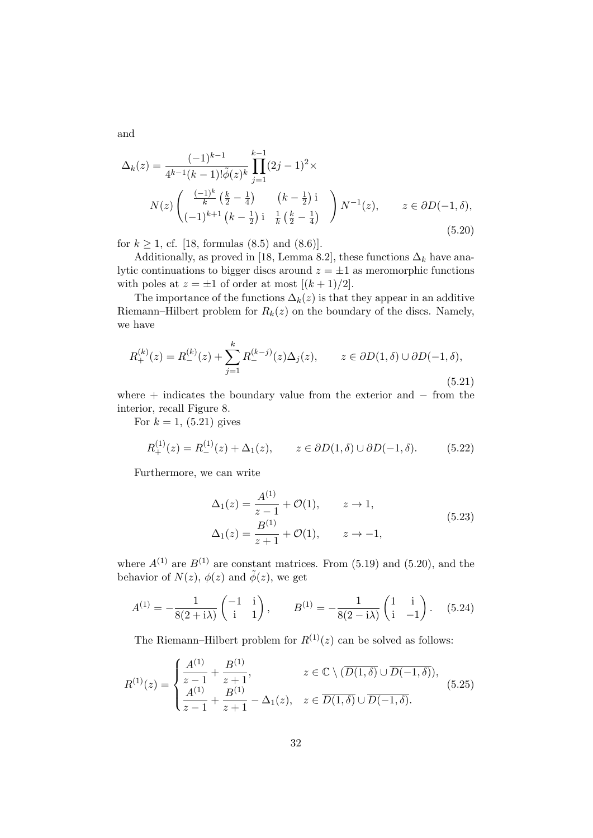$$
\Delta_k(z) = \frac{(-1)^{k-1}}{4^{k-1}(k-1)!\tilde{\phi}(z)^k} \prod_{j=1}^{k-1} (2j-1)^2 \times
$$
\n
$$
N(z) \begin{pmatrix} \frac{(-1)^k}{k} \left(\frac{k}{2} - \frac{1}{4}\right) & (k - \frac{1}{2}) \, \mathrm{i} \\ (-1)^{k+1} \left(k - \frac{1}{2}\right) \, \mathrm{i} & \frac{1}{k} \left(\frac{k}{2} - \frac{1}{4}\right) \end{pmatrix} N^{-1}(z), \qquad z \in \partial D(-1, \delta), \tag{5.20}
$$

for  $k \ge 1$ , cf. [18, formulas (8.5) and (8.6)].

Additionally, as proved in [18, Lemma 8.2], these functions  $\Delta_k$  have analytic continuations to bigger discs around  $z = \pm 1$  as meromorphic functions with poles at  $z = \pm 1$  of order at most  $[(k+1)/2]$ .

The importance of the functions  $\Delta_k(z)$  is that they appear in an additive Riemann–Hilbert problem for  $R_k(z)$  on the boundary of the discs. Namely, we have

$$
R_{+}^{(k)}(z) = R_{-}^{(k)}(z) + \sum_{j=1}^{k} R_{-}^{(k-j)}(z) \Delta_{j}(z), \qquad z \in \partial D(1, \delta) \cup \partial D(-1, \delta),
$$
\n(5.21)

where + indicates the boundary value from the exterior and − from the interior, recall Figure 8.

For  $k = 1$ , (5.21) gives

$$
R_+^{(1)}(z) = R_-^{(1)}(z) + \Delta_1(z), \qquad z \in \partial D(1,\delta) \cup \partial D(-1,\delta). \tag{5.22}
$$

Furthermore, we can write

$$
\Delta_1(z) = \frac{A^{(1)}}{z - 1} + \mathcal{O}(1), \qquad z \to 1,
$$
  
\n
$$
\Delta_1(z) = \frac{B^{(1)}}{z + 1} + \mathcal{O}(1), \qquad z \to -1,
$$
\n(5.23)

where  $A^{(1)}$  are  $B^{(1)}$  are constant matrices. From (5.19) and (5.20), and the behavior of  $N(z)$ ,  $\phi(z)$  and  $\tilde{\phi}(z)$ , we get

$$
A^{(1)} = -\frac{1}{8(2+i\lambda)} \begin{pmatrix} -1 & i \\ i & 1 \end{pmatrix}, \qquad B^{(1)} = -\frac{1}{8(2-i\lambda)} \begin{pmatrix} 1 & i \\ i & -1 \end{pmatrix}. \tag{5.24}
$$

The Riemann–Hilbert problem for  $R^{(1)}(z)$  can be solved as follows:

$$
R^{(1)}(z) = \begin{cases} \frac{A^{(1)}}{z-1} + \frac{B^{(1)}}{z+1}, & z \in \mathbb{C} \setminus (\overline{D(1,\delta)} \cup \overline{D(-1,\delta)}), \\ \frac{A^{(1)}}{z-1} + \frac{B^{(1)}}{z+1} - \Delta_1(z), & z \in \overline{D(1,\delta)} \cup \overline{D(-1,\delta)}. \end{cases}
$$
(5.25)

and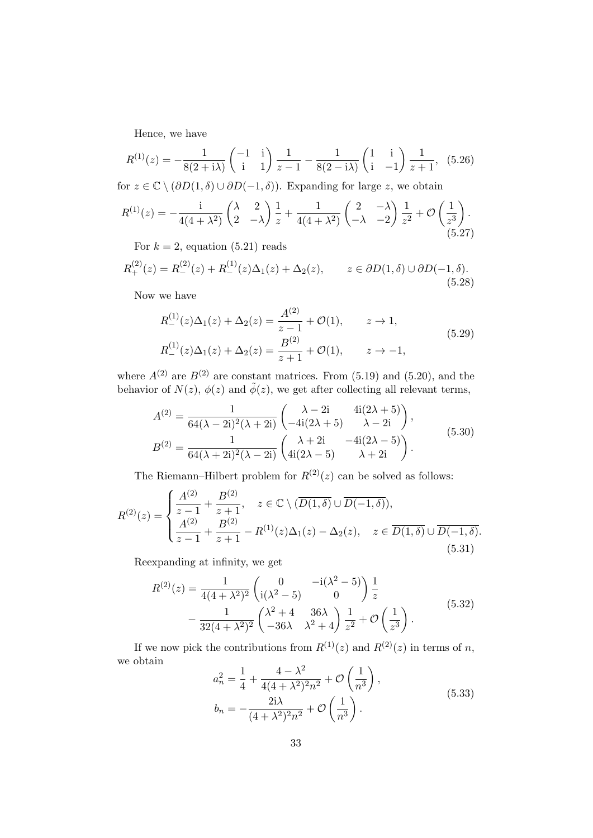Hence, we have

$$
R^{(1)}(z) = -\frac{1}{8(2+i\lambda)} \begin{pmatrix} -1 & i \\ i & 1 \end{pmatrix} \frac{1}{z-1} - \frac{1}{8(2-i\lambda)} \begin{pmatrix} 1 & i \\ i & -1 \end{pmatrix} \frac{1}{z+1}, \tag{5.26}
$$

for  $z \in \mathbb{C} \setminus (\partial D(1, \delta) \cup \partial D(-1, \delta))$ . Expanding for large z, we obtain

$$
R^{(1)}(z) = -\frac{\mathrm{i}}{4(4+\lambda^2)} \begin{pmatrix} \lambda & 2\\ 2 & -\lambda \end{pmatrix} \frac{1}{z} + \frac{1}{4(4+\lambda^2)} \begin{pmatrix} 2 & -\lambda\\ -\lambda & -2 \end{pmatrix} \frac{1}{z^2} + \mathcal{O}\left(\frac{1}{z^3}\right).
$$
\n
$$
R = \begin{pmatrix} 1 & 0\\ 0 & 0 \end{pmatrix} \begin{pmatrix} 2 & 0\\ 0 & 0 \end{pmatrix} \begin{pmatrix} 2 & 0\\ 0 & 0 \end{pmatrix}.
$$

For  $k = 2$ , equation (5.21) reads

$$
R_{+}^{(2)}(z) = R_{-}^{(2)}(z) + R_{-}^{(1)}(z)\Delta_{1}(z) + \Delta_{2}(z), \qquad z \in \partial D(1,\delta) \cup \partial D(-1,\delta). \tag{5.28}
$$

Now we have

$$
R_{-}^{(1)}(z)\Delta_{1}(z) + \Delta_{2}(z) = \frac{A^{(2)}}{z-1} + \mathcal{O}(1), \qquad z \to 1,
$$
  
\n
$$
R_{-}^{(1)}(z)\Delta_{1}(z) + \Delta_{2}(z) = \frac{B^{(2)}}{z+1} + \mathcal{O}(1), \qquad z \to -1,
$$
\n(5.29)

where  $A^{(2)}$  are  $B^{(2)}$  are constant matrices. From (5.19) and (5.20), and the behavior of  $N(z)$ ,  $\phi(z)$  and  $\tilde{\phi}(z)$ , we get after collecting all relevant terms,

$$
A^{(2)} = \frac{1}{64(\lambda - 2i)^2(\lambda + 2i)} \begin{pmatrix} \lambda - 2i & 4i(2\lambda + 5) \\ -4i(2\lambda + 5) & \lambda - 2i \end{pmatrix},
$$
  
\n
$$
B^{(2)} = \frac{1}{64(\lambda + 2i)^2(\lambda - 2i)} \begin{pmatrix} \lambda + 2i & -4i(2\lambda - 5) \\ 4i(2\lambda - 5) & \lambda + 2i \end{pmatrix}.
$$
\n(5.30)

The Riemann–Hilbert problem for  $R^{(2)}(z)$  can be solved as follows:

$$
R^{(2)}(z) = \begin{cases} \frac{A^{(2)}}{z-1} + \frac{B^{(2)}}{z+1}, & z \in \mathbb{C} \setminus (\overline{D(1,\delta)} \cup \overline{D(-1,\delta)}),\\ \frac{A^{(2)}}{z-1} + \frac{B^{(2)}}{z+1} - R^{(1)}(z)\Delta_1(z) - \Delta_2(z), & z \in \overline{D(1,\delta)} \cup \overline{D(-1,\delta)}. \end{cases}
$$
(5.31)

Reexpanding at infinity, we get

$$
R^{(2)}(z) = \frac{1}{4(4+\lambda^2)^2} \begin{pmatrix} 0 & -i(\lambda^2 - 5) \\ i(\lambda^2 - 5) & 0 \end{pmatrix} \frac{1}{z} - \frac{1}{32(4+\lambda^2)^2} \begin{pmatrix} \lambda^2 + 4 & 36\lambda \\ -36\lambda & \lambda^2 + 4 \end{pmatrix} \frac{1}{z^2} + \mathcal{O}\left(\frac{1}{z^3}\right). \tag{5.32}
$$

If we now pick the contributions from  $R^{(1)}(z)$  and  $R^{(2)}(z)$  in terms of n, we obtain  $\overline{2}$ 

$$
a_n^2 = \frac{1}{4} + \frac{4 - \lambda^2}{4(4 + \lambda^2)^2 n^2} + \mathcal{O}\left(\frac{1}{n^3}\right),
$$
  
\n
$$
b_n = -\frac{2i\lambda}{(4 + \lambda^2)^2 n^2} + \mathcal{O}\left(\frac{1}{n^3}\right).
$$
\n(5.33)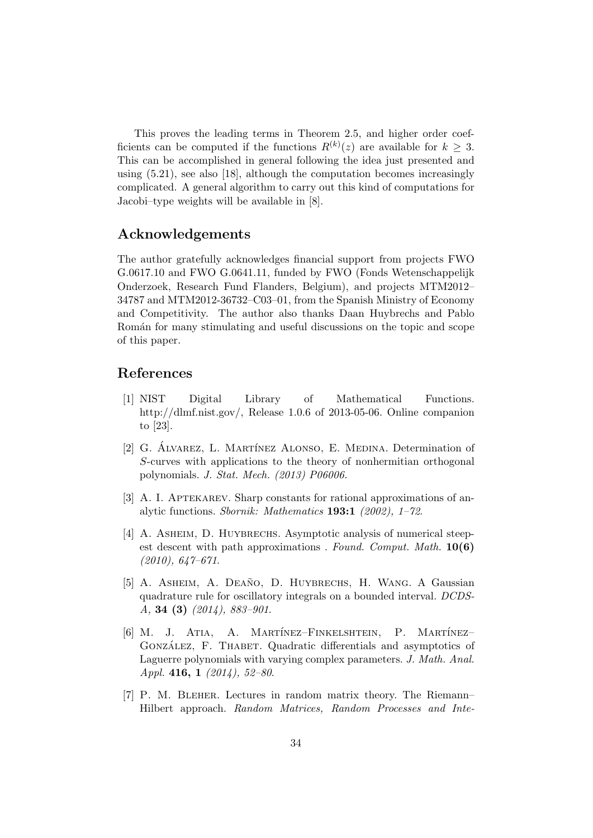This proves the leading terms in Theorem 2.5, and higher order coefficients can be computed if the functions  $R^{(k)}(z)$  are available for  $k \geq 3$ . This can be accomplished in general following the idea just presented and using (5.21), see also [18], although the computation becomes increasingly complicated. A general algorithm to carry out this kind of computations for Jacobi–type weights will be available in [8].

# Acknowledgements

The author gratefully acknowledges financial support from projects FWO G.0617.10 and FWO G.0641.11, funded by FWO (Fonds Wetenschappelijk Onderzoek, Research Fund Flanders, Belgium), and projects MTM2012– 34787 and MTM2012-36732–C03–01, from the Spanish Ministry of Economy and Competitivity. The author also thanks Daan Huybrechs and Pablo Román for many stimulating and useful discussions on the topic and scope of this paper.

## References

- [1] NIST Digital Library of Mathematical Functions. http://dlmf.nist.gov/, Release 1.0.6 of 2013-05-06. Online companion to [23].
- [2] G. ALVAREZ, L. MARTÍNEZ ALONSO, E. MEDINA. Determination of S-curves with applications to the theory of nonhermitian orthogonal polynomials. J. Stat. Mech. (2013) P06006.
- [3] A. I. APTEKAREV. Sharp constants for rational approximations of analytic functions. Sbornik: Mathematics 193:1 (2002), 1–72.
- [4] A. ASHEIM, D. HUYBRECHS. Asymptotic analysis of numerical steepest descent with path approximations . Found. Comput. Math.  $10(6)$ (2010), 647–671.
- [5] A. ASHEIM, A. DEAÑO, D. HUYBRECHS, H. WANG. A Gaussian quadrature rule for oscillatory integrals on a bounded interval. DCDS-A, 34 (3) (2014), 883–901.
- [6] M. J. Atia, A. Martínez–Finkelshtein, P. Martínez– GONZÁLEZ, F. THABET. Quadratic differentials and asymptotics of Laguerre polynomials with varying complex parameters. J. Math. Anal. Appl. 416, 1 (2014), 52–80.
- [7] P. M. Bleher. Lectures in random matrix theory. The Riemann– Hilbert approach. Random Matrices, Random Processes and Inte-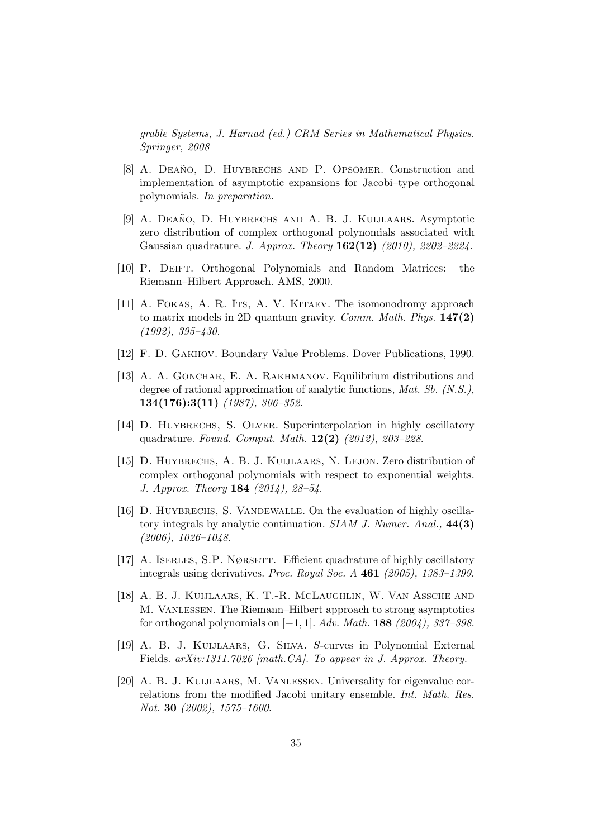grable Systems, J. Harnad (ed.) CRM Series in Mathematical Physics. Springer, 2008

- [8] A. DEANO, D. HUYBRECHS AND P. OPSOMER. Construction and implementation of asymptotic expansions for Jacobi–type orthogonal polynomials. In preparation.
- [9] A. DEAÑO, D. HUYBRECHS AND A. B. J. KUIJLAARS. Asymptotic zero distribution of complex orthogonal polynomials associated with Gaussian quadrature. J. Approx. Theory 162(12) (2010), 2202–2224.
- [10] P. DEIFT. Orthogonal Polynomials and Random Matrices: the Riemann–Hilbert Approach. AMS, 2000.
- [11] A. Fokas, A. R. Its, A. V. Kitaev. The isomonodromy approach to matrix models in 2D quantum gravity. Comm. Math. Phys.  $147(2)$ (1992), 395–430.
- [12] F. D. GAKHOV. Boundary Value Problems. Dover Publications, 1990.
- [13] A. A. Gonchar, E. A. Rakhmanov. Equilibrium distributions and degree of rational approximation of analytic functions, Mat. Sb. (N.S.),  $134(176):3(11)$  (1987), 306–352.
- [14] D. HUYBRECHS, S. OLVER. Superinterpolation in highly oscillatory quadrature. Found. Comput. Math. 12(2) (2012), 203–228.
- [15] D. Huybrechs, A. B. J. Kuijlaars, N. Lejon. Zero distribution of complex orthogonal polynomials with respect to exponential weights. J. Approx. Theory 184 (2014), 28–54.
- [16] D. HUYBRECHS, S. VANDEWALLE. On the evaluation of highly oscillatory integrals by analytic continuation. SIAM J. Numer. Anal., 44(3)  $(2006)$ ,  $1026 - 1048$ .
- [17] A. ISERLES, S.P. NØRSETT. Efficient quadrature of highly oscillatory integrals using derivatives. Proc. Royal Soc. A 461 (2005), 1383–1399.
- [18] A. B. J. Kuijlaars, K. T.-R. McLaughlin, W. Van Assche and M. Vanlessen. The Riemann–Hilbert approach to strong asymptotics for orthogonal polynomials on  $[-1, 1]$ . Adv. Math. **188** (2004), 337–398.
- [19] A. B. J. Kuijlaars, G. Silva. S-curves in Polynomial External Fields. arXiv:1311.7026 [math.CA]. To appear in J. Approx. Theory.
- [20] A. B. J. Kuijlaars, M. Vanlessen. Universality for eigenvalue correlations from the modified Jacobi unitary ensemble. Int. Math. Res. Not. 30 (2002), 1575–1600.